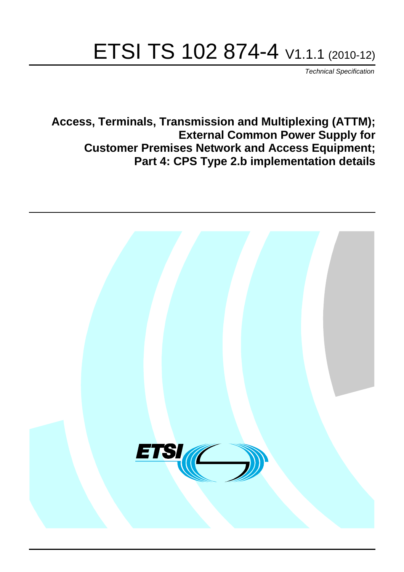# ETSI TS 102 874-4 V1.1.1 (2010-12)

*Technical Specification*

**Access, Terminals, Transmission and Multiplexing (ATTM); External Common Power Supply for Customer Premises Network and Access Equipment; Part 4: CPS Type 2.b implementation details**

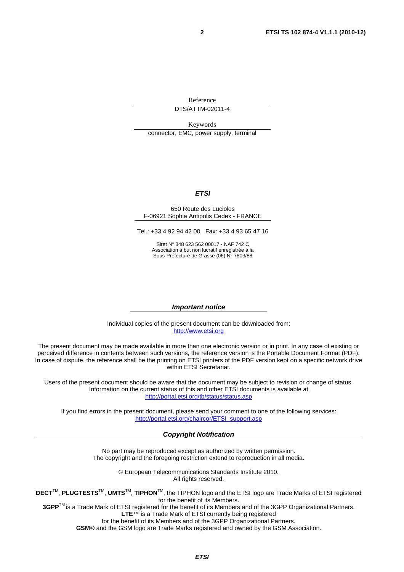Reference

DTS/ATTM-02011-4

Keywords

connector, EMC, power supply, terminal

#### *ETSI*

#### 650 Route des Lucioles F-06921 Sophia Antipolis Cedex - FRANCE

Tel.: +33 4 92 94 42 00 Fax: +33 4 93 65 47 16

Siret N° 348 623 562 00017 - NAF 742 C Association à but non lucratif enregistrée à la Sous-Préfecture de Grasse (06) N° 7803/88

#### *Important notice*

Individual copies of the present document can be downloaded from: [http://www.etsi.org](http://www.etsi.org/)

The present document may be made available in more than one electronic version or in print. In any case of existing or perceived difference in contents between such versions, the reference version is the Portable Document Format (PDF). In case of dispute, the reference shall be the printing on ETSI printers of the PDF version kept on a specific network drive within ETSI Secretariat.

Users of the present document should be aware that the document may be subject to revision or change of status. Information on the current status of this and other ETSI documents is available at <http://portal.etsi.org/tb/status/status.asp>

If you find errors in the present document, please send your comment to one of the following services: [http://portal.etsi.org/chaircor/ETSI\\_support.asp](http://portal.etsi.org/chaircor/ETSI_support.asp)

#### *Copyright Notification*

No part may be reproduced except as authorized by written permission. The copyright and the foregoing restriction extend to reproduction in all media.

> © European Telecommunications Standards Institute 2010. All rights reserved.

**DECT**TM, **PLUGTESTS**TM, **UMTS**TM, **TIPHON**TM, the TIPHON logo and the ETSI logo are Trade Marks of ETSI registered for the benefit of its Members.

**3GPP**TM is a Trade Mark of ETSI registered for the benefit of its Members and of the 3GPP Organizational Partners. **LTE**™ is a Trade Mark of ETSI currently being registered

for the benefit of its Members and of the 3GPP Organizational Partners.

**GSM**® and the GSM logo are Trade Marks registered and owned by the GSM Association.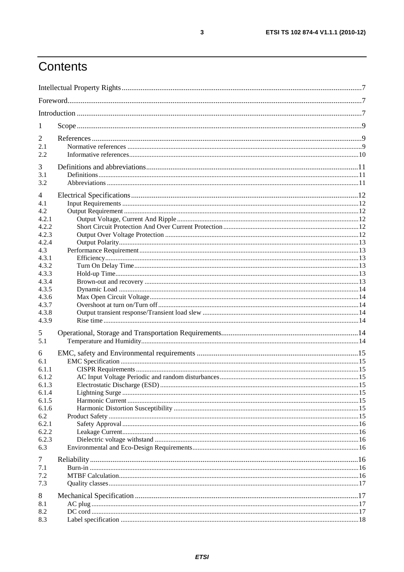## Contents

| 1              |  |
|----------------|--|
| $\overline{2}$ |  |
| 2.1            |  |
| 2.2            |  |
| 3              |  |
| 3.1            |  |
| 3.2            |  |
| 4              |  |
| 4.1            |  |
| 4.2            |  |
| 4.2.1          |  |
| 4.2.2          |  |
| 4.2.3          |  |
| 4.2.4          |  |
| 4.3            |  |
| 4.3.1          |  |
| 4.3.2          |  |
| 4.3.3<br>4.3.4 |  |
| 4.3.5          |  |
| 4.3.6          |  |
| 4.3.7          |  |
| 4.3.8          |  |
| 4.3.9          |  |
| 5              |  |
| 5.1            |  |
|                |  |
| 6<br>6.1       |  |
| 6.1.1          |  |
| 6.1.2          |  |
| 6.1.3          |  |
| 6.1.4          |  |
| 6.1.5          |  |
| 6.1.6          |  |
| 6.2            |  |
| 6.2.1          |  |
| 6.2.2          |  |
| 6.2.3<br>6.3   |  |
|                |  |
| $\overline{7}$ |  |
| 7.1            |  |
| 7.2            |  |
| 7.3            |  |
| 8              |  |
| 8.1            |  |
| 8.2            |  |
| 8.3            |  |

 $\mathbf{3}$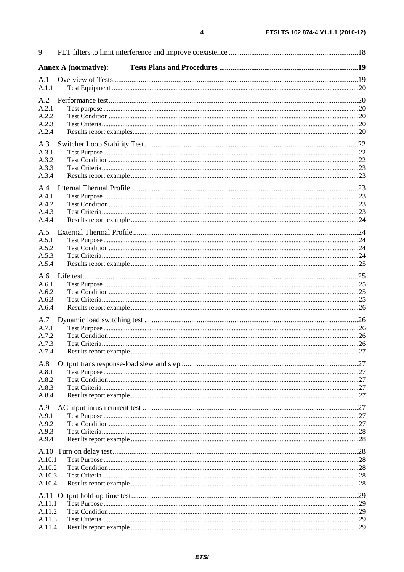| 9                |                             |     |
|------------------|-----------------------------|-----|
|                  | <b>Annex A (normative):</b> |     |
| A.1              |                             |     |
| A.1.1            |                             |     |
| A.2              |                             |     |
| A.2.1<br>A.2.2   |                             |     |
| A.2.3            |                             |     |
| A.2.4            |                             |     |
| A.3              |                             |     |
| A.3.1            |                             |     |
| A.3.2            |                             |     |
| A.3.3            |                             |     |
| A.3.4            |                             |     |
| A.4              |                             |     |
| A.4.1            |                             |     |
| A.4.2<br>A.4.3   |                             |     |
| A.4.4            |                             |     |
|                  |                             |     |
| A.5<br>A.5.1     |                             |     |
| A.5.2            |                             |     |
| A.5.3            |                             |     |
| A.5.4            |                             |     |
| A.6              |                             |     |
| A.6.1            |                             |     |
| A.6.2            |                             |     |
| A.6.3<br>A.6.4   |                             |     |
|                  |                             |     |
| A.7<br>A.7.1     |                             |     |
| A.7.2            |                             |     |
| A.7.3            |                             |     |
| A.7.4            | Results report example      | .27 |
| A.8              |                             |     |
| A.8.1            |                             |     |
| A.8.2            |                             |     |
| A.8.3<br>A.8.4   |                             |     |
|                  |                             |     |
| A.9<br>A.9.1     |                             |     |
| A.9.2            |                             |     |
| A.9.3            |                             |     |
| A.9.4            |                             |     |
|                  |                             |     |
| A.10.1           |                             |     |
| A.10.2           |                             |     |
| A.10.3<br>A.10.4 |                             |     |
|                  |                             |     |
|                  |                             |     |
| A.11.1<br>A.11.2 |                             |     |
| A.11.3           |                             |     |
| A.11.4           |                             |     |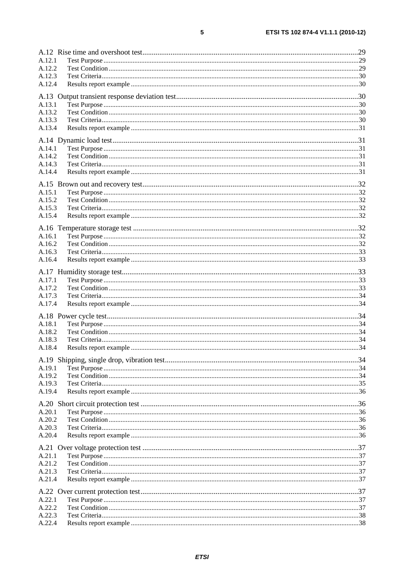| A.12.1 |     |
|--------|-----|
| A.12.2 |     |
| A.12.3 |     |
| A.12.4 |     |
|        |     |
| A.13.1 |     |
| A.13.2 |     |
| A.13.3 |     |
| A.13.4 |     |
|        |     |
|        |     |
| A.14.1 |     |
| A.14.2 |     |
| A.14.3 |     |
| A.14.4 |     |
|        |     |
|        |     |
| A.15.1 |     |
| A.15.2 |     |
| A.15.3 |     |
| A.15.4 |     |
|        |     |
| A.16.1 |     |
| A.16.2 |     |
| A.16.3 |     |
| A.16.4 |     |
|        |     |
|        |     |
| A.17.1 |     |
| A.17.2 |     |
| A.17.3 |     |
| A.17.4 |     |
|        |     |
| A.18.1 |     |
| A.18.2 |     |
| A.18.3 |     |
| A.18.4 |     |
|        |     |
|        |     |
| A.19.1 |     |
| A.19.2 |     |
| A.19.3 |     |
| A.19.4 |     |
|        |     |
|        |     |
| A.20.1 |     |
| A.20.2 |     |
| A.20.3 |     |
| A.20.4 |     |
|        |     |
| A.21.1 |     |
| A.21.2 |     |
| A.21.3 |     |
| A.21.4 |     |
|        |     |
|        |     |
| A.22.1 |     |
| A.22.2 |     |
| A.22.3 |     |
| A.22.4 | .38 |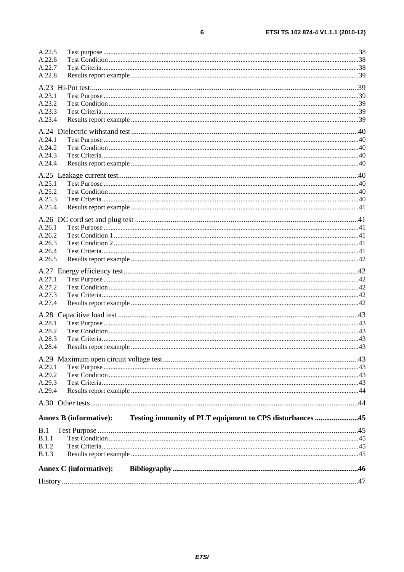| A.22.5           |                               |                                                          |  |
|------------------|-------------------------------|----------------------------------------------------------|--|
| A.22.6           |                               |                                                          |  |
| A.22.7           |                               |                                                          |  |
| A.22.8           |                               |                                                          |  |
|                  |                               |                                                          |  |
|                  |                               |                                                          |  |
| A.23.1           |                               |                                                          |  |
| A.23.2           |                               |                                                          |  |
| A.23.3           |                               |                                                          |  |
| A.23.4           |                               |                                                          |  |
|                  |                               |                                                          |  |
| A.24.1           |                               |                                                          |  |
| A.24.2           |                               |                                                          |  |
| A.24.3           |                               |                                                          |  |
| A.24.4           |                               |                                                          |  |
|                  |                               |                                                          |  |
|                  |                               |                                                          |  |
| A.25.1           |                               |                                                          |  |
| A.25.2<br>A.25.3 |                               |                                                          |  |
|                  |                               |                                                          |  |
| A.25.4           |                               |                                                          |  |
|                  |                               |                                                          |  |
| A.26.1           |                               |                                                          |  |
| A.26.2           |                               |                                                          |  |
| A.26.3           |                               |                                                          |  |
| A.26.4           |                               |                                                          |  |
| A.26.5           |                               |                                                          |  |
|                  |                               |                                                          |  |
| A.27.1           |                               |                                                          |  |
| A.27.2           |                               |                                                          |  |
| A.27.3           |                               |                                                          |  |
| A.27.4           |                               |                                                          |  |
|                  |                               |                                                          |  |
|                  |                               |                                                          |  |
| A.28.1           |                               |                                                          |  |
| A.28.2           |                               |                                                          |  |
| A.28.3           |                               |                                                          |  |
| A.28.4           |                               |                                                          |  |
|                  |                               |                                                          |  |
| A.29.1           |                               |                                                          |  |
| A.29.2           |                               |                                                          |  |
| A.29.3           |                               |                                                          |  |
| A.29.4           |                               |                                                          |  |
|                  |                               |                                                          |  |
|                  |                               |                                                          |  |
|                  |                               |                                                          |  |
|                  | <b>Annex B (informative):</b> | Testing immunity of PLT equipment to CPS disturbances 45 |  |
| B.1              |                               |                                                          |  |
| B.1.1            |                               |                                                          |  |
| B.1.2            |                               |                                                          |  |
| <b>B.1.3</b>     |                               |                                                          |  |
|                  |                               |                                                          |  |
|                  | <b>Annex C</b> (informative): |                                                          |  |
|                  |                               |                                                          |  |
|                  |                               |                                                          |  |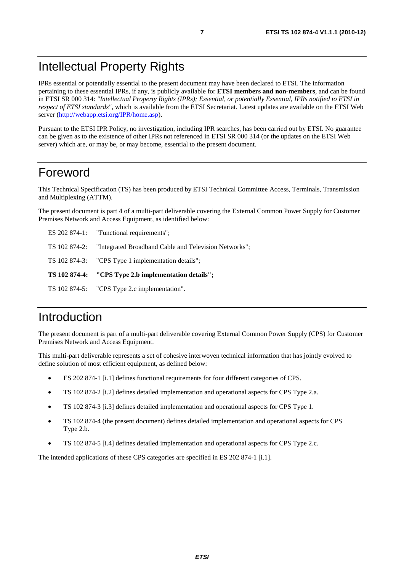## Intellectual Property Rights

IPRs essential or potentially essential to the present document may have been declared to ETSI. The information pertaining to these essential IPRs, if any, is publicly available for **ETSI members and non-members**, and can be found in ETSI SR 000 314: *"Intellectual Property Rights (IPRs); Essential, or potentially Essential, IPRs notified to ETSI in respect of ETSI standards"*, which is available from the ETSI Secretariat. Latest updates are available on the ETSI Web server [\(http://webapp.etsi.org/IPR/home.asp](http://webapp.etsi.org/IPR/home.asp)).

Pursuant to the ETSI IPR Policy, no investigation, including IPR searches, has been carried out by ETSI. No guarantee can be given as to the existence of other IPRs not referenced in ETSI SR 000 314 (or the updates on the ETSI Web server) which are, or may be, or may become, essential to the present document.

### Foreword

This Technical Specification (TS) has been produced by ETSI Technical Committee Access, Terminals, Transmission and Multiplexing (ATTM).

The present document is part 4 of a multi-part deliverable covering the External Common Power Supply for Customer Premises Network and Access Equipment, as identified below:

| TS 102 874-5: "CPS Type 2.c implementation".                        |
|---------------------------------------------------------------------|
| TS 102 874-4: "CPS Type 2.b implementation details";                |
| TS 102 874-3: "CPS Type 1 implementation details";                  |
| TS 102 874-2: "Integrated Broadband Cable and Television Networks"; |
| ES 202 874-1: "Functional requirements";                            |

## Introduction

The present document is part of a multi-part deliverable covering External Common Power Supply (CPS) for Customer Premises Network and Access Equipment.

This multi-part deliverable represents a set of cohesive interwoven technical information that has jointly evolved to define solution of most efficient equipment, as defined below:

- ES 202 874-1 [i.1] defines functional requirements for four different categories of CPS.
- TS 102 874-2 [i.2] defines detailed implementation and operational aspects for CPS Type 2.a.
- TS 102 874-3 [i.3] defines detailed implementation and operational aspects for CPS Type 1.
- TS 102 874-4 (the present document) defines detailed implementation and operational aspects for CPS Type 2.b.
- TS 102 874-5 [i.4] defines detailed implementation and operational aspects for CPS Type 2.c.

The intended applications of these CPS categories are specified in ES 202 874-1 [i.1].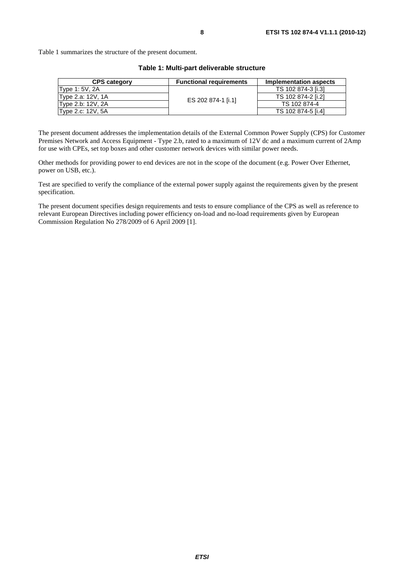Table 1 summarizes the structure of the present document.

| <b>CPS category</b> | <b>Functional requirements</b> | Implementation aspects |  |  |
|---------------------|--------------------------------|------------------------|--|--|
| Type 1: 5V, 2A      |                                | TS 102 874-3 [i.3]     |  |  |
| Type 2.a: 12V, 1A   | ES 202 874-1 [i.1]             | TS 102 874-2 [i.2]     |  |  |
| Type 2.b: 12V, 2A   |                                | TS 102 874-4           |  |  |
| Type 2.c: 12V, 5A   |                                | TS 102 874-5 [i.4]     |  |  |

#### **Table 1: Multi-part deliverable structure**

The present document addresses the implementation details of the External Common Power Supply (CPS) for Customer Premises Network and Access Equipment - Type 2.b, rated to a maximum of 12V dc and a maximum current of 2Amp for use with CPEs, set top boxes and other customer network devices with similar power needs.

Other methods for providing power to end devices are not in the scope of the document (e.g. Power Over Ethernet, power on USB, etc.).

Test are specified to verify the compliance of the external power supply against the requirements given by the present specification.

The present document specifies design requirements and tests to ensure compliance of the CPS as well as reference to relevant European Directives including power efficiency on-load and no-load requirements given by European Commission Regulation No 278/2009 of 6 April 2009 [1].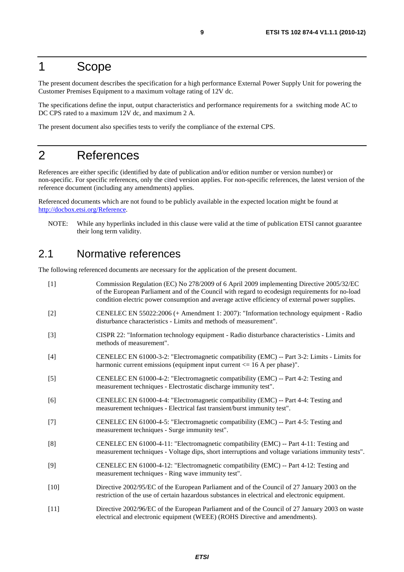### 1 Scope

The present document describes the specification for a high performance External Power Supply Unit for powering the Customer Premises Equipment to a maximum voltage rating of 12V dc.

The specifications define the input, output characteristics and performance requirements for a switching mode AC to DC CPS rated to a maximum 12V dc, and maximum 2 A.

The present document also specifies tests to verify the compliance of the external CPS.

## 2 References

References are either specific (identified by date of publication and/or edition number or version number) or non-specific. For specific references, only the cited version applies. For non-specific references, the latest version of the reference document (including any amendments) applies.

Referenced documents which are not found to be publicly available in the expected location might be found at <http://docbox.etsi.org/Reference>.

NOTE: While any hyperlinks included in this clause were valid at the time of publication ETSI cannot guarantee their long term validity.

## 2.1 Normative references

The following referenced documents are necessary for the application of the present document.

| $[1]$  | Commission Regulation (EC) No 278/2009 of 6 April 2009 implementing Directive 2005/32/EC<br>of the European Parliament and of the Council with regard to ecodesign requirements for no-load<br>condition electric power consumption and average active efficiency of external power supplies. |
|--------|-----------------------------------------------------------------------------------------------------------------------------------------------------------------------------------------------------------------------------------------------------------------------------------------------|
| $[2]$  | CENELEC EN 55022:2006 (+ Amendment 1: 2007): "Information technology equipment - Radio<br>disturbance characteristics - Limits and methods of measurement".                                                                                                                                   |
| $[3]$  | CISPR 22: "Information technology equipment - Radio disturbance characteristics - Limits and<br>methods of measurement".                                                                                                                                                                      |
| $[4]$  | CENELEC EN 61000-3-2: "Electromagnetic compatibility (EMC) -- Part 3-2: Limits - Limits for<br>harmonic current emissions (equipment input current $\leq 16$ A per phase)".                                                                                                                   |
| $[5]$  | CENELEC EN 61000-4-2: "Electromagnetic compatibility (EMC) -- Part 4-2: Testing and<br>measurement techniques - Electrostatic discharge immunity test".                                                                                                                                       |
| [6]    | CENELEC EN 61000-4-4: "Electromagnetic compatibility (EMC) -- Part 4-4: Testing and<br>measurement techniques - Electrical fast transient/burst immunity test".                                                                                                                               |
| $[7]$  | CENELEC EN 61000-4-5: "Electromagnetic compatibility (EMC) -- Part 4-5: Testing and<br>measurement techniques - Surge immunity test".                                                                                                                                                         |
| [8]    | CENELEC EN 61000-4-11: "Electromagnetic compatibility (EMC) -- Part 4-11: Testing and<br>measurement techniques - Voltage dips, short interruptions and voltage variations immunity tests".                                                                                                   |
| [9]    | CENELEC EN 61000-4-12: "Electromagnetic compatibility (EMC) -- Part 4-12: Testing and<br>measurement techniques - Ring wave immunity test".                                                                                                                                                   |
| $[10]$ | Directive 2002/95/EC of the European Parliament and of the Council of 27 January 2003 on the<br>restriction of the use of certain hazardous substances in electrical and electronic equipment.                                                                                                |
| $[11]$ | Directive 2002/96/EC of the European Parliament and of the Council of 27 January 2003 on waste<br>electrical and electronic equipment (WEEE) (ROHS Directive and amendments).                                                                                                                 |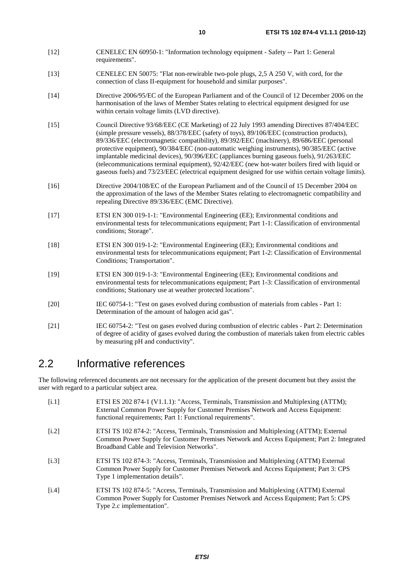- [12] CENELEC EN 60950-1: "Information technology equipment Safety -- Part 1: General requirements".
- [13] CENELEC EN 50075: "Flat non-rewirable two-pole plugs, 2,5 A 250 V, with cord, for the connection of class II-equipment for household and similar purposes".
- [14] Directive 2006/95/EC of the European Parliament and of the Council of 12 December 2006 on the harmonisation of the laws of Member States relating to electrical equipment designed for use within certain voltage limits (LVD directive).
- [15] Council Directive 93/68/EEC (CE Marketing) of 22 July 1993 amending Directives 87/404/EEC (simple pressure vessels), 88/378/EEC (safety of toys), 89/106/EEC (construction products), 89/336/EEC (electromagnetic compatibility), 89/392/EEC (machinery), 89/686/EEC (personal protective equipment), 90/384/EEC (non-automatic weighing instruments), 90/385/EEC (active implantable medicinal devices), 90/396/EEC (appliances burning gaseous fuels), 91/263/EEC (telecommunications terminal equipment), 92/42/EEC (new hot-water boilers fired with liquid or gaseous fuels) and 73/23/EEC (electrical equipment designed for use within certain voltage limits).
- [16] Directive 2004/108/EC of the European Parliament and of the Council of 15 December 2004 on the approximation of the laws of the Member States relating to electromagnetic compatibility and repealing Directive 89/336/EEC (EMC Directive).
- [17] ETSI EN 300 019-1-1: "Environmental Engineering (EE); Environmental conditions and environmental tests for telecommunications equipment; Part 1-1: Classification of environmental conditions; Storage".
- [18] ETSI EN 300 019-1-2: "Environmental Engineering (EE); Environmental conditions and environmental tests for telecommunications equipment; Part 1-2: Classification of Environmental Conditions; Transportation".
- [19] ETSI EN 300 019-1-3: "Environmental Engineering (EE); Environmental conditions and environmental tests for telecommunications equipment; Part 1-3: Classification of environmental conditions; Stationary use at weather protected locations".
- [20] IEC 60754-1: "Test on gases evolved during combustion of materials from cables Part 1: Determination of the amount of halogen acid gas".
- [21] IEC 60754-2: "Test on gases evolved during combustion of electric cables Part 2: Determination of degree of acidity of gases evolved during the combustion of materials taken from electric cables by measuring pH and conductivity".

### 2.2 Informative references

The following referenced documents are not necessary for the application of the present document but they assist the user with regard to a particular subject area.

[i.1] ETSI ES 202 874-1 (V1.1.1): "Access, Terminals, Transmission and Multiplexing (ATTM); External Common Power Supply for Customer Premises Network and Access Equipment: functional requirements; Part 1: Functional requirements". [i.2] ETSI TS 102 874-2: "Access, Terminals, Transmission and Multiplexing (ATTM); External Common Power Supply for Customer Premises Network and Access Equipment; Part 2: Integrated Broadband Cable and Television Networks". [i.3] ETSI TS 102 874-3: "Access, Terminals, Transmission and Multiplexing (ATTM) External Common Power Supply for Customer Premises Network and Access Equipment; Part 3: CPS Type 1 implementation details". [i.4] ETSI TS 102 874-5: "Access, Terminals, Transmission and Multiplexing (ATTM) External Common Power Supply for Customer Premises Network and Access Equipment; Part 5: CPS Type 2.c implementation".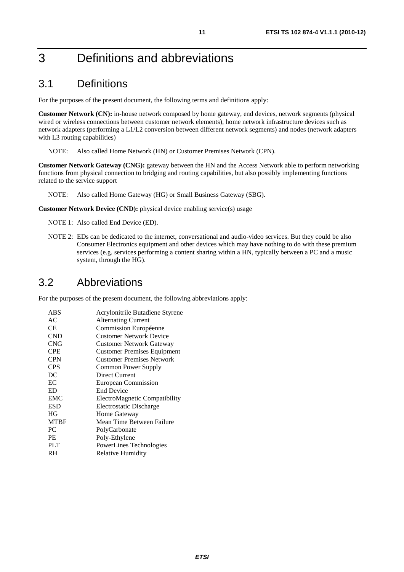## 3 Definitions and abbreviations

## 3.1 Definitions

For the purposes of the present document, the following terms and definitions apply:

**Customer Network (CN):** in-house network composed by home gateway, end devices, network segments (physical wired or wireless connections between customer network elements), home network infrastructure devices such as network adapters (performing a L1/L2 conversion between different network segments) and nodes (network adapters with L3 routing capabilities)

NOTE: Also called Home Network (HN) or Customer Premises Network (CPN).

**Customer Network Gateway (CNG):** gateway between the HN and the Access Network able to perform networking functions from physical connection to bridging and routing capabilities, but also possibly implementing functions related to the service support

NOTE: Also called Home Gateway (HG) or Small Business Gateway (SBG).

**Customer Network Device (CND):** physical device enabling service(s) usage

NOTE 1: Also called End Device (ED).

NOTE 2: EDs can be dedicated to the internet, conversational and audio-video services. But they could be also Consumer Electronics equipment and other devices which may have nothing to do with these premium services (e.g. services performing a content sharing within a HN, typically between a PC and a music system, through the HG).

### 3.2 Abbreviations

For the purposes of the present document, the following abbreviations apply:

| ABS         | Acrylonitrile Butadiene Styrene    |
|-------------|------------------------------------|
| AC          | <b>Alternating Current</b>         |
| СE          | Commission Européenne              |
| <b>CND</b>  | <b>Customer Network Device</b>     |
| <b>CNG</b>  | <b>Customer Network Gateway</b>    |
| <b>CPE</b>  | <b>Customer Premises Equipment</b> |
| <b>CPN</b>  | <b>Customer Premises Network</b>   |
| <b>CPS</b>  | <b>Common Power Supply</b>         |
| DC          | Direct Current                     |
| ЕC          | European Commission                |
| ED          | <b>End Device</b>                  |
| <b>EMC</b>  | ElectroMagnetic Compatibility      |
| <b>ESD</b>  | Electrostatic Discharge            |
| HG          | Home Gateway                       |
| <b>MTBF</b> | Mean Time Between Failure          |
| PC          | PolyCarbonate                      |
| <b>PE</b>   | Poly-Ethylene                      |
| <b>PLT</b>  | PowerLines Technologies            |
| RH          | Relative Humidity                  |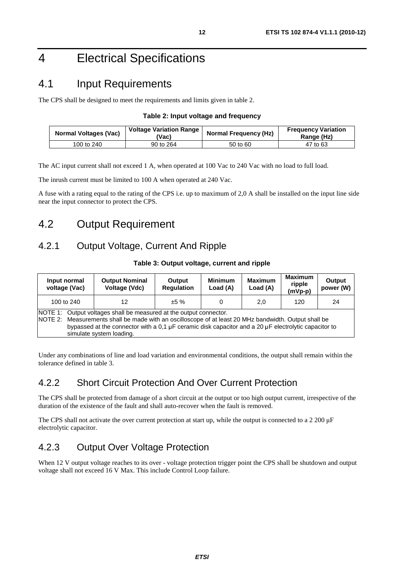## 4 Electrical Specifications

## 4.1 Input Requirements

The CPS shall be designed to meet the requirements and limits given in table 2.

#### **Table 2: Input voltage and frequency**

| <b>Normal Voltages (Vac)</b> | Voltage Variation Range<br>'Vac) | <b>Normal Frequency (Hz)</b> | <b>Frequency Variation</b><br>Range (Hz) |  |
|------------------------------|----------------------------------|------------------------------|------------------------------------------|--|
| 100 to 240                   | 90 to 264                        | 50 to 60                     | 47 to 63                                 |  |

The AC input current shall not exceed 1 A, when operated at 100 Vac to 240 Vac with no load to full load.

The inrush current must be limited to 100 A when operated at 240 Vac.

A fuse with a rating equal to the rating of the CPS i.e. up to maximum of 2,0 A shall be installed on the input line side near the input connector to protect the CPS.

## 4.2 Output Requirement

### 4.2.1 Output Voltage, Current And Ripple

| Input normal<br>voltage (Vac)                                                                                                                                                                                                                                                                                   | <b>Output Nominal</b><br>Voltage (Vdc) | Output<br><b>Regulation</b> | <b>Minimum</b><br>Load (A) | <b>Maximum</b><br>Load (A) | <b>Maximum</b><br>ripple<br>$(mVp-p)$ | Output<br>power (W) |
|-----------------------------------------------------------------------------------------------------------------------------------------------------------------------------------------------------------------------------------------------------------------------------------------------------------------|----------------------------------------|-----------------------------|----------------------------|----------------------------|---------------------------------------|---------------------|
| 100 to 240<br>12                                                                                                                                                                                                                                                                                                |                                        | ±5%                         |                            | 2,0                        | 120                                   | 24                  |
| NOTE 1: Output voltages shall be measured at the output connector.<br>NOTE 2: Measurements shall be made with an oscilloscope of at least 20 MHz bandwidth. Output shall be<br>bypassed at the connector with a 0.1 µF ceramic disk capacitor and a 20 µF electrolytic capacitor to<br>simulate system loading. |                                        |                             |                            |                            |                                       |                     |

#### **Table 3: Output voltage, current and ripple**

Under any combinations of line and load variation and environmental conditions, the output shall remain within the tolerance defined in table 3.

### 4.2.2 Short Circuit Protection And Over Current Protection

The CPS shall be protected from damage of a short circuit at the output or too high output current, irrespective of the duration of the existence of the fault and shall auto-recover when the fault is removed.

The CPS shall not activate the over current protection at start up, while the output is connected to a 2 200 μ<sup>F</sup> electrolytic capacitor.

### 4.2.3 Output Over Voltage Protection

When 12 V output voltage reaches to its over - voltage protection trigger point the CPS shall be shutdown and output voltage shall not exceed 16 V Max. This include Control Loop failure.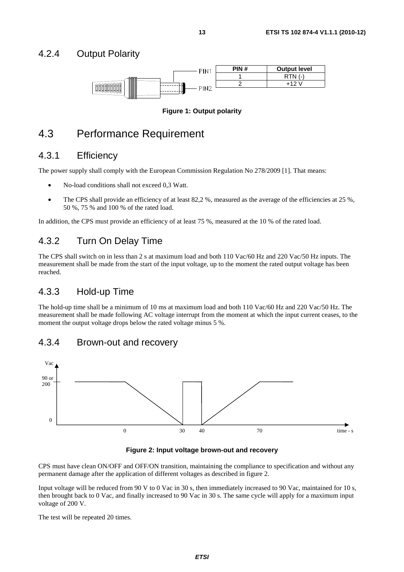#### 4.2.4 Output Polarity



#### **Figure 1: Output polarity**

### 4.3 Performance Requirement

#### 4.3.1 Efficiency

The power supply shall comply with the European Commission Regulation No 278/2009 [1]. That means:

- No-load conditions shall not exceed 0,3 Watt.
- The CPS shall provide an efficiency of at least 82,2 %, measured as the average of the efficiencies at 25 %, 50 %, 75 % and 100 % of the rated load.

In addition, the CPS must provide an efficiency of at least 75 %, measured at the 10 % of the rated load.

#### 4.3.2 Turn On Delay Time

The CPS shall switch on in less than 2 s at maximum load and both 110 Vac/60 Hz and 220 Vac/50 Hz inputs. The measurement shall be made from the start of the input voltage, up to the moment the rated output voltage has been reached.

#### 4.3.3 Hold-up Time

The hold-up time shall be a minimum of 10 ms at maximum load and both 110 Vac/60 Hz and 220 Vac/50 Hz. The measurement shall be made following AC voltage interrupt from the moment at which the input current ceases, to the moment the output voltage drops below the rated voltage minus 5 %.

#### 4.3.4 Brown-out and recovery



#### **Figure 2: Input voltage brown-out and recovery**

CPS must have clean ON/OFF and OFF/ON transition, maintaining the compliance to specification and without any permanent damage after the application of different voltages as described in figure 2.

Input voltage will be reduced from 90 V to 0 Vac in 30 s, then immediately increased to 90 Vac, maintained for 10 s, then brought back to 0 Vac, and finally increased to 90 Vac in 30 s. The same cycle will apply for a maximum input voltage of 200 V.

The test will be repeated 20 times.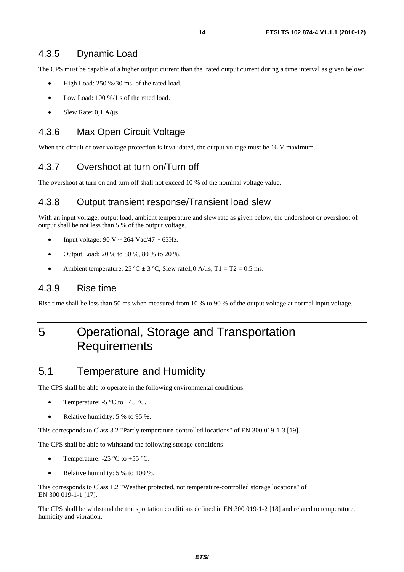#### 4.3.5 Dynamic Load

The CPS must be capable of a higher output current than the rated output current during a time interval as given below:

- High Load: 250 %/30 ms of the rated load.
- Low Load: 100 %/1 s of the rated load.
- Slew Rate: 0,1 A/μs.

#### 4.3.6 Max Open Circuit Voltage

When the circuit of over voltage protection is invalidated, the output voltage must be 16 V maximum.

#### 4.3.7 Overshoot at turn on/Turn off

The overshoot at turn on and turn off shall not exceed 10 % of the nominal voltage value.

#### 4.3.8 Output transient response/Transient load slew

With an input voltage, output load, ambient temperature and slew rate as given below, the undershoot or overshoot of output shall be not less than 5 % of the output voltage.

- Input voltage:  $90 \text{ V} \sim 264 \text{ Vac}/47 \sim 63 \text{Hz}$ .
- Output Load: 20 % to 80 %, 80 % to 20 %.
- Ambient temperature:  $25 \text{ °C} \pm 3 \text{ °C}$ , Slew rate 1,0 A/μs, T1 = T2 = 0,5 ms.

#### 4.3.9 Rise time

Rise time shall be less than 50 ms when measured from 10 % to 90 % of the output voltage at normal input voltage.

## 5 Operational, Storage and Transportation **Requirements**

### 5.1 Temperature and Humidity

The CPS shall be able to operate in the following environmental conditions:

- Temperature:  $-5$  °C to  $+45$  °C.
- Relative humidity: 5 % to 95 %.

This corresponds to Class 3.2 "Partly temperature-controlled locations" of EN 300 019-1-3 [19].

The CPS shall be able to withstand the following storage conditions

- Temperature:  $-25 \degree C$  to  $+55 \degree C$ .
- Relative humidity: 5 % to 100 %.

This corresponds to Class 1.2 "Weather protected, not temperature-controlled storage locations" of EN 300 019-1-1 [17].

The CPS shall be withstand the transportation conditions defined in EN 300 019-1-2 [18] and related to temperature, humidity and vibration.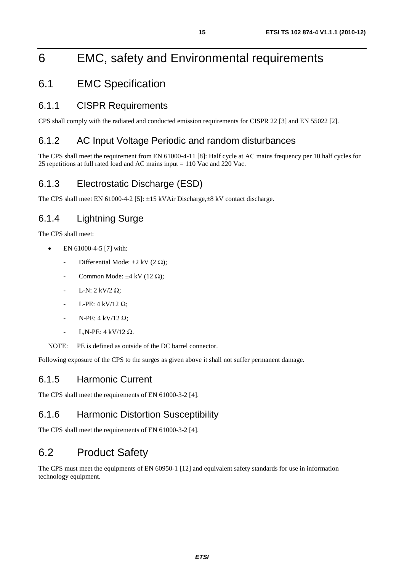## 6 EMC, safety and Environmental requirements

## 6.1 EMC Specification

#### 6.1.1 CISPR Requirements

CPS shall comply with the radiated and conducted emission requirements for CISPR 22 [3] and EN 55022 [2].

#### 6.1.2 AC Input Voltage Periodic and random disturbances

The CPS shall meet the requirement from EN 61000-4-11 [8]: Half cycle at AC mains frequency per 10 half cycles for 25 repetitions at full rated load and AC mains input = 110 Vac and 220 Vac.

### 6.1.3 Electrostatic Discharge (ESD)

The CPS shall meet EN 61000-4-2 [5]:  $\pm$ 15 kVAir Discharge, $\pm$ 8 kV contact discharge.

### 6.1.4 Lightning Surge

The CPS shall meet:

- EN 61000-4-5 [7] with:
	- Differential Mode:  $\pm 2$  kV (2  $\Omega$ );
	- Common Mode:  $\pm 4$  kV (12  $\Omega$ );
	- L-N: 2 kV/2  $\Omega$ :
	- L-PE: 4 kV/12 Ω;
	- N-PE:  $4$  kV/12 Ω;
	- L,N-PE:  $4$  kV/12  $\Omega$ .

NOTE: PE is defined as outside of the DC barrel connector.

Following exposure of the CPS to the surges as given above it shall not suffer permanent damage.

#### 6.1.5 Harmonic Current

The CPS shall meet the requirements of EN 61000-3-2 [4].

#### 6.1.6 Harmonic Distortion Susceptibility

The CPS shall meet the requirements of EN 61000-3-2 [4].

## 6.2 Product Safety

The CPS must meet the equipments of EN 60950-1 [12] and equivalent safety standards for use in information technology equipment.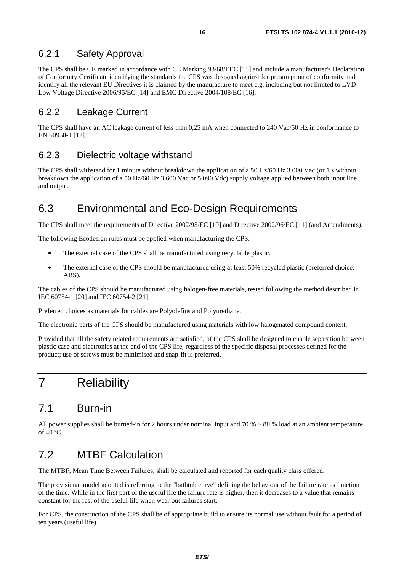#### 6.2.1 Safety Approval

The CPS shall be CE marked in accordance with CE Marking 93/68/EEC [15] and include a manufacturer's Declaration of Conformity Certificate identifying the standards the CPS was designed against for presumption of conformity and identify all the relevant EU Directives it is claimed by the manufacture to meet e.g. including but not limited to LVD Low Voltage Directive 2006/95/EC [14] and EMC Directive 2004/108/EC [16].

#### 6.2.2 Leakage Current

The CPS shall have an AC leakage current of less than 0,25 mA when connected to 240 Vac/50 Hz in conformance to EN 60950-1 [12].

#### 6.2.3 Dielectric voltage withstand

The CPS shall withstand for 1 minute without breakdown the application of a 50 Hz/60 Hz 3 000 Vac (or 1 s without breakdown the application of a 50 Hz/60 Hz 3 600 Vac or 5 090 Vdc) supply voltage applied between both input line and output.

## 6.3 Environmental and Eco-Design Requirements

The CPS shall meet the requirements of Directive 2002/95/EC [10] and Directive 2002/96/EC [11] (and Amendments).

The following Ecodesign rules must be applied when manufacturing the CPS:

- The external case of the CPS shall be manufactured using recyclable plastic.
- The external case of the CPS should be manufactured using at least 50% recycled plastic (preferred choice: ABS).

The cables of the CPS should be manufactured using halogen-free materials, tested following the method described in IEC 60754-1 [20] and IEC 60754-2 [21].

Preferred choices as materials for cables are Polyolefins and Polyurethane.

The electronic parts of the CPS should be manufactured using materials with low halogenated compound content.

Provided that all the safety related requirements are satisfied, of the CPS shall be designed to enable separation between plastic case and electronics at the end of the CPS life, regardless of the specific disposal processes defined for the product; use of screws must be minimised and snap-fit is preferred.

## 7 Reliability

## 7.1 Burn-in

All power supplies shall be burned-in for 2 hours under nominal input and 70  $% \sim 80$  % load at an ambient temperature of  $40^{\circ}$ C.

## 7.2 MTBF Calculation

The MTBF, Mean Time Between Failures, shall be calculated and reported for each quality class offered.

The provisional model adopted is referring to the "bathtub curve" defining the behaviour of the failure rate as function of the time. While in the first part of the useful life the failure rate is higher, then it decreases to a value that remains constant for the rest of the useful life when wear out failures start.

For CPS, the construction of the CPS shall be of appropriate build to ensure its normal use without fault for a period of ten years (useful life).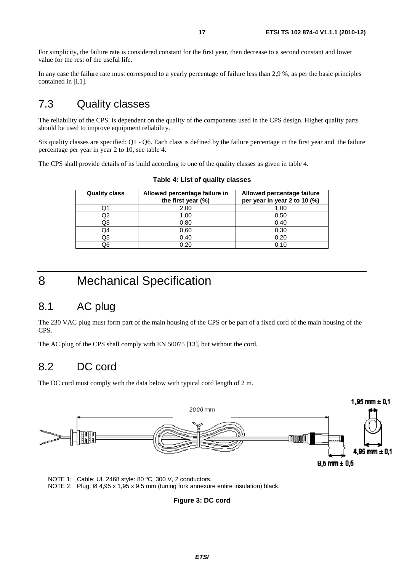For simplicity, the failure rate is considered constant for the first year, then decrease to a second constant and lower value for the rest of the useful life.

In any case the failure rate must correspond to a yearly percentage of failure less than 2,9 %, as per the basic principles contained in [i.1].

## 7.3 Quality classes

The reliability of the CPS is dependent on the quality of the components used in the CPS design. Higher quality parts should be used to improve equipment reliability.

Six quality classes are specified: Q1 - Q6. Each class is defined by the failure percentage in the first year and the failure percentage per year in year 2 to 10, see table 4.

The CPS shall provide details of its build according to one of the quality classes as given in table 4.

| <b>Quality class</b> | Allowed percentage failure in<br>the first year (%) | Allowed percentage failure<br>per year in year 2 to 10 (%) |
|----------------------|-----------------------------------------------------|------------------------------------------------------------|
| Q1                   | 2,00                                                | 1,00                                                       |
| Q2                   | 1.00                                                | 0,50                                                       |
| Q3                   | 0,80                                                | 0,40                                                       |
| Q4                   | 0,60                                                | 0,30                                                       |
| Q5                   | 0,40                                                | 0.20                                                       |
| Q6                   | 0.20                                                | 0.10                                                       |

**Table 4: List of quality classes** 

## 8 Mechanical Specification

## 8.1 AC plug

The 230 VAC plug must form part of the main housing of the CPS or be part of a fixed cord of the main housing of the CPS.

The AC plug of the CPS shall comply with EN 50075 [13], but without the cord.

### 8.2 DC cord

The DC cord must comply with the data below with typical cord length of 2 m.



NOTE 1: Cable: UL 2468 style: 80 ºC, 300 V, 2 conductors. NOTE 2: Plug: Ø 4,95 x 1,95 x 9,5 mm (tuning fork annexure entire insulation) black.

**Figure 3: DC cord**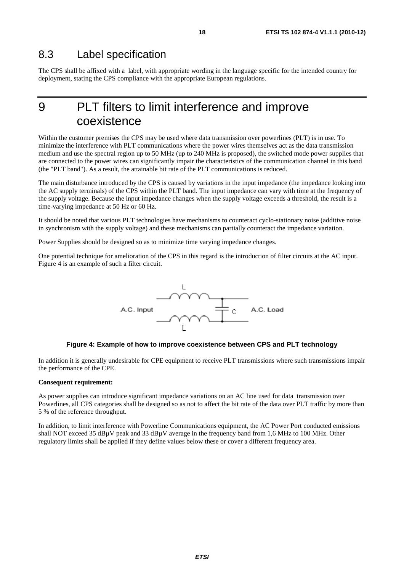The CPS shall be affixed with a label, with appropriate wording in the language specific for the intended country for deployment, stating the CPS compliance with the appropriate European regulations.

## 9 PLT filters to limit interference and improve coexistence

Within the customer premises the CPS may be used where data transmission over powerlines (PLT) is in use. To minimize the interference with PLT communications where the power wires themselves act as the data transmission medium and use the spectral region up to 50 MHz (up to 240 MHz is proposed), the switched mode power supplies that are connected to the power wires can significantly impair the characteristics of the communication channel in this band (the "PLT band"). As a result, the attainable bit rate of the PLT communications is reduced.

The main disturbance introduced by the CPS is caused by variations in the input impedance (the impedance looking into the AC supply terminals) of the CPS within the PLT band. The input impedance can vary with time at the frequency of the supply voltage. Because the input impedance changes when the supply voltage exceeds a threshold, the result is a time-varying impedance at 50 Hz or 60 Hz.

It should be noted that various PLT technologies have mechanisms to counteract cyclo-stationary noise (additive noise in synchronism with the supply voltage) and these mechanisms can partially counteract the impedance variation.

Power Supplies should be designed so as to minimize time varying impedance changes.

One potential technique for amelioration of the CPS in this regard is the introduction of filter circuits at the AC input. Figure 4 is an example of such a filter circuit.



#### **Figure 4: Example of how to improve coexistence between CPS and PLT technology**

In addition it is generally undesirable for CPE equipment to receive PLT transmissions where such transmissions impair the performance of the CPE.

#### **Consequent requirement:**

As power supplies can introduce significant impedance variations on an AC line used for data transmission over Powerlines, all CPS categories shall be designed so as not to affect the bit rate of the data over PLT traffic by more than 5 % of the reference throughput.

In addition, to limit interference with Powerline Communications equipment, the AC Power Port conducted emissions shall NOT exceed 35 dBµV peak and 33 dBµV average in the frequency band from 1,6 MHz to 100 MHz. Other regulatory limits shall be applied if they define values below these or cover a different frequency area.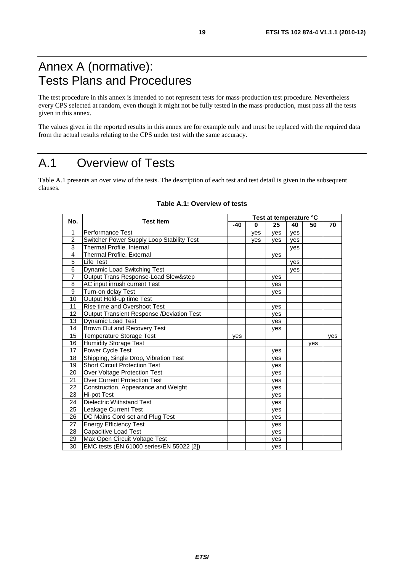## Annex A (normative): Tests Plans and Procedures

The test procedure in this annex is intended to not represent tests for mass-production test procedure. Nevertheless every CPS selected at random, even though it might not be fully tested in the mass-production, must pass all the tests given in this annex.

The values given in the reported results in this annex are for example only and must be replaced with the required data from the actual results relating to the CPS under test with the same accuracy.

## A.1 Overview of Tests

Table A.1 presents an over view of the tests. The description of each test and test detail is given in the subsequent clauses.

| No.            | <b>Test Item</b>                          |     | Test at temperature °C |     |     |     |     |  |
|----------------|-------------------------------------------|-----|------------------------|-----|-----|-----|-----|--|
|                |                                           | -40 | 0                      | 25  | 40  | 50  | 70  |  |
| 1              | <b>Performance Test</b>                   |     | ves                    | yes | ves |     |     |  |
| $\overline{2}$ | Switcher Power Supply Loop Stability Test |     | ves                    | yes | ves |     |     |  |
| 3              | Thermal Profile, Internal                 |     |                        |     | ves |     |     |  |
| 4              | Thermal Profile, External                 |     |                        | ves |     |     |     |  |
| 5              | Life Test                                 |     |                        |     | ves |     |     |  |
| 6              | Dynamic Load Switching Test               |     |                        |     | ves |     |     |  |
| $\overline{7}$ | Output Trans Response-Load Slew&step      |     |                        | yes |     |     |     |  |
| 8              | AC input inrush current Test              |     |                        | ves |     |     |     |  |
| 9              | Turn-on delay Test                        |     |                        | yes |     |     |     |  |
| 10             | Output Hold-up time Test                  |     |                        |     |     |     |     |  |
| 11             | Rise time and Overshoot Test              |     |                        | ves |     |     |     |  |
| 12             | Output Transient Response /Deviation Test |     |                        | ves |     |     |     |  |
| 13             | <b>Dynamic Load Test</b>                  |     |                        | ves |     |     |     |  |
| 14             | Brown Out and Recovery Test               |     |                        | yes |     |     |     |  |
| 15             | Temperature Storage Test                  | ves |                        |     |     |     | yes |  |
| 16             | <b>Humidity Storage Test</b>              |     |                        |     |     | ves |     |  |
| 17             | Power Cycle Test                          |     |                        | ves |     |     |     |  |
| 18             | Shipping, Single Drop, Vibration Test     |     |                        | yes |     |     |     |  |
| 19             | <b>Short Circuit Protection Test</b>      |     |                        | yes |     |     |     |  |
| 20             | Over Voltage Protection Test              |     |                        | ves |     |     |     |  |
| 21             | <b>Over Current Protection Test</b>       |     |                        | yes |     |     |     |  |
| 22             | Construction, Appearance and Weight       |     |                        | ves |     |     |     |  |
| 23             | <b>Hi-pot Test</b>                        |     |                        | yes |     |     |     |  |
| 24             | <b>Dielectric Withstand Test</b>          |     |                        | yes |     |     |     |  |
| 25             | <b>Leakage Current Test</b>               |     |                        | ves |     |     |     |  |
| 26             | DC Mains Cord set and Plug Test           |     |                        | yes |     |     |     |  |
| 27             | <b>Energy Efficiency Test</b>             |     |                        | ves |     |     |     |  |
| 28             | Capacitive Load Test                      |     |                        | yes |     |     |     |  |
| 29             | Max Open Circuit Voltage Test             |     |                        | yes |     |     |     |  |
| 30             | EMC tests (EN 61000 series/EN 55022 [2])  |     |                        | yes |     |     |     |  |

#### **Table A.1: Overview of tests**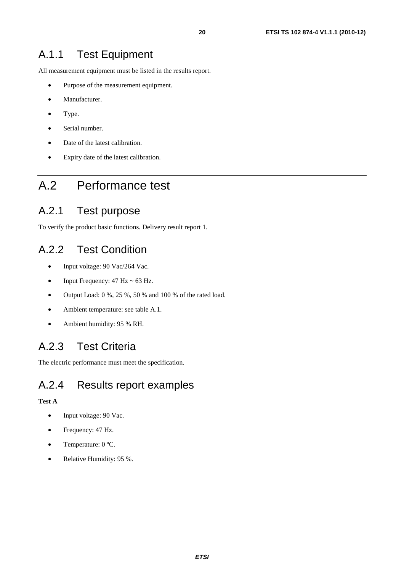All measurement equipment must be listed in the results report.

- Purpose of the measurement equipment.
- Manufacturer.
- Type.
- Serial number.
- Date of the latest calibration.
- Expiry date of the latest calibration.

## A.2 Performance test

### A.2.1 Test purpose

To verify the product basic functions. Delivery result report 1.

## A.2.2 Test Condition

- Input voltage: 90 Vac/264 Vac.
- Input Frequency:  $47 \text{ Hz} \sim 63 \text{ Hz}$ .
- Output Load:  $0\%$ ,  $25\%$ ,  $50\%$  and  $100\%$  of the rated load.
- Ambient temperature: see table A.1.
- Ambient humidity: 95 % RH.

## A.2.3 Test Criteria

The electric performance must meet the specification.

### A.2.4 Results report examples

#### **Test A**

- Input voltage: 90 Vac.
- Frequency: 47 Hz.
- Temperature: 0 °C.
- Relative Humidity: 95 %.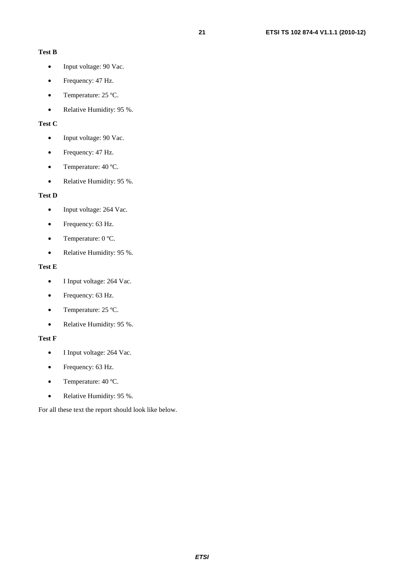#### **Test B**

- Input voltage: 90 Vac.
- Frequency: 47 Hz.
- Temperature: 25 °C.
- Relative Humidity: 95 %.

#### **Test C**

- Input voltage: 90 Vac.
- Frequency: 47 Hz.
- Temperature: 40 °C.
- Relative Humidity: 95 %.

#### **Test D**

- Input voltage: 264 Vac.
- Frequency: 63 Hz.
- Temperature: 0 °C.
- Relative Humidity: 95 %.

#### **Test E**

- I Input voltage: 264 Vac.
- Frequency: 63 Hz.
- Temperature: 25 °C.
- Relative Humidity: 95 %.

#### **Test F**

- I Input voltage: 264 Vac.
- Frequency: 63 Hz.
- Temperature: 40 °C.
- Relative Humidity: 95 %.

For all these text the report should look like below.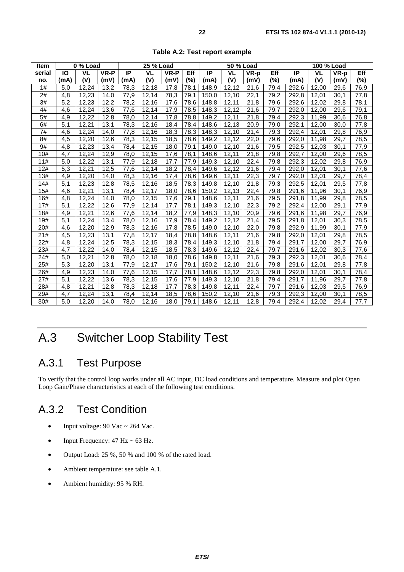| <b>Item</b> | 0 % Load         |           |      |      | 25 % Load |      |      |       | 50 % Load |      |      | 100 % Load |           |      |        |
|-------------|------------------|-----------|------|------|-----------|------|------|-------|-----------|------|------|------------|-----------|------|--------|
| serial      | IO               | <b>VL</b> | VR-P | IP   | <b>VL</b> | VR-P | Eff  | IP    | <b>VL</b> | VR-p | Eff  | IP         | <b>VL</b> | VR-p | Eff    |
| no.         | (mA)             | (V)       | (mV) | (mA) | (V)       | (mV) | (%)  | (mA)  | (V)       | (mV) | (%)  | (mA)       | (V)       | (mV) | $(\%)$ |
| 1#          | 5,0              | 12.24     | 13,2 | 78,3 | 12,18     | 17,8 | 78.1 | 148,9 | 12,12     | 21,6 | 79,4 | 292,6      | 12,00     | 29,6 | 76,9   |
| 2#          | 4,8              | 12,23     | 14,0 | 77,9 | 12,14     | 78,3 | 79.1 | 150.0 | 12,10     | 22,1 | 79,2 | 292,8      | 12,01     | 30,1 | 77,8   |
| 3#          | $\overline{5,2}$ | 12,23     | 12,2 | 78,2 | 12,16     | 17,6 | 78.6 | 148.8 | 12,11     | 21,8 | 79,6 | 292,6      | 12,02     | 29,8 | 78,1   |
| 4#          | 4,6              | 12,24     | 13,6 | 77,6 | 12,14     | 17,9 | 78,5 | 148,3 | 12,12     | 21,6 | 79,7 | 292,0      | 12,00     | 29,6 | 79,1   |
| 5#          | 4,9              | 12,22     | 12,8 | 78,0 | 12,14     | 17,8 | 78,8 | 149,2 | 12,11     | 21,8 | 79,4 | 292,3      | 11,99     | 30,6 | 76,8   |
| 6#          | 5,1              | 12,21     | 13,1 | 78,3 | 12,16     | 18,4 | 78,4 | 148,6 | 12,13     | 20,9 | 79,0 | 292,1      | 12,00     | 30,0 | 77,8   |
| 7#          | 4,6              | 12,24     | 14,0 | 77,8 | 12,16     | 18,3 | 78,3 | 148,3 | 12,10     | 21,4 | 79,3 | 292,4      | 12,01     | 29,8 | 76,9   |
| 8#          | 4,5              | 12,20     | 12,6 | 78,3 | 12,15     | 18,5 | 78,6 | 149,2 | 12,12     | 22,0 | 79,6 | 292,0      | 11,98     | 29,7 | 78,5   |
| 9#          | 4,8              | 12,23     | 13,4 | 78,4 | 12,15     | 18,0 | 79,1 | 149,0 | 12,10     | 21,6 | 79,5 | 292,5      | 12,03     | 30,1 | 77,9   |
| 10#         | 4,7              | 12,24     | 12,9 | 78,0 | 12,15     | 17,6 | 78,1 | 148,6 | 12.11     | 21,8 | 79,8 | 292,7      | 12,00     | 29,6 | 78,5   |
| 11#         | 5,0              | 12,22     | 13,1 | 77,9 | 12,18     | 17,7 | 77,9 | 149,3 | 12,10     | 22,4 | 79,8 | 292,3      | 12,02     | 29,8 | 76,9   |
| 12#         | 5,3              | 12,21     | 12,5 | 77,6 | 12,14     | 18,2 | 78,4 | 149,6 | 12,12     | 21,6 | 79,4 | 292,0      | 12,01     | 30,1 | 77,6   |
| 13#         | 4,9              | 12,20     | 14,0 | 78,3 | 12,16     | 17,4 | 78,6 | 149,6 | 12,11     | 22,3 | 79,7 | 292,0      | 12,01     | 29,7 | 78,4   |
| 14#         | 5,1              | 12.23     | 12,8 | 78,5 | 12.16     | 18,5 | 78,3 | 149,8 | 12.10     | 21,8 | 79,3 | 292.5      | 12,01     | 29,5 | 77,8   |
| 15#         | 4,6              | 12,21     | 13,1 | 78,4 | 12,17     | 18,0 | 78,6 | 150,2 | 12,13     | 22,4 | 79,8 | 291,6      | 11,96     | 30,1 | 76,9   |
| 16#         | 4,8              | 12,24     | 14,0 | 78,0 | 12,15     | 17,6 | 79,1 | 148,6 | 12,11     | 21,6 | 79,5 | 291,8      | 11,99     | 29,8 | 78,5   |
| 17#         | 5,1              | 12,22     | 12,6 | 77,9 | 12,14     | 17,7 | 78,1 | 149,3 | 12,10     | 22,3 | 79,2 | 292,4      | 12,00     | 29,1 | 77,9   |
| 18#         | 4,9              | 12,21     | 12,6 | 77,6 | 12,14     | 18,2 | 77,9 | 148,3 | 12,10     | 20,9 | 79,6 | 291,6      | 11,98     | 29,7 | 76,9   |
| 19#         | 5,1              | 12,24     | 13,4 | 78,0 | 12,16     | 17,9 | 78,4 | 149,2 | 12,12     | 21,4 | 79,5 | 291,8      | 12,01     | 30,3 | 78,5   |
| 20#         | 4,6              | 12,20     | 12,9 | 78,3 | 12,16     | 17,8 | 78,5 | 149,0 | 12,10     | 22,0 | 79,8 | 292,9      | 11,99     | 30,1 | 77,9   |
| 21#         | 4,5              | 12,23     | 13,1 | 77,8 | 12,17     | 18,4 | 78,8 | 148,6 | 12,11     | 21,6 | 79,8 | 292,0      | 12,01     | 29,8 | 78,5   |
| 22#         | 4,8              | 12,24     | 12,5 | 78,3 | 12,15     | 18,3 | 78,4 | 149,3 | 12,10     | 21,8 | 79,4 | 291,7      | 12,00     | 29,7 | 76,9   |
| 23#         | 4,7              | 12,22     | 14,0 | 78,4 | 12,15     | 18,5 | 78,3 | 149,6 | 12,12     | 22,4 | 79,7 | 291,6      | 12,02     | 30,3 | 77,6   |
| 24#         | 5,0              | 12,21     | 12,8 | 78,0 | 12,18     | 18,0 | 78,6 | 149,8 | 12,11     | 21,6 | 79,3 | 292,3      | 12,01     | 30,6 | 78,4   |
| 25#         | $\overline{5,3}$ | 12,20     | 13,1 | 77,9 | 12.17     | 17,6 | 79.1 | 150,2 | 12.10     | 21,6 | 79,8 | 291.6      | 12,01     | 29,8 | 77,8   |
| 26#         | 4,9              | 12,23     | 14,0 | 77,6 | 12,15     | 17,7 | 78,1 | 148,6 | 12,12     | 22,3 | 79,8 | 292,0      | 12,01     | 30,1 | 78,4   |
| 27#         | 5,1              | 12.22     | 13,6 | 78,3 | 12,15     | 17,6 | 77,9 | 149,3 | 12.10     | 21,8 | 79,4 | 291.7      | 11,96     | 29,7 | 77,8   |
| 28#         | 4,8              | 12,21     | 12,8 | 78,3 | 12,18     | 17,7 | 78,3 | 149,8 | 12,11     | 22,4 | 79,7 | 291,6      | 12,03     | 29,5 | 76,9   |
| 29#         | 4,7              | 12,24     | 13,1 | 78,4 | 12.14     | 18,5 | 78,6 | 150,2 | 12,10     | 21,6 | 79,3 | 292,3      | 12,00     | 30,1 | 78,5   |
| 30#         | 5,0              | 12,20     | 14,0 | 78,0 | 12,16     | 18,0 | 79,1 | 148,6 | 12,11     | 12,8 | 79,4 | 292,4      | 12,02     | 29,4 | 77,7   |

**Table A.2: Test report example** 

## A.3 Switcher Loop Stability Test

## A.3.1 Test Purpose

To verify that the control loop works under all AC input, DC load conditions and temperature. Measure and plot Open Loop Gain/Phase characteristics at each of the following test conditions.

## A.3.2 Test Condition

- Input voltage:  $90$  Vac ~  $264$  Vac.
- Input Frequency:  $47 \text{ Hz} \sim 63 \text{ Hz}$ .
- Output Load: 25 %, 50 % and 100 % of the rated load.
- Ambient temperature: see table A.1.
- Ambient humidity: 95 % RH.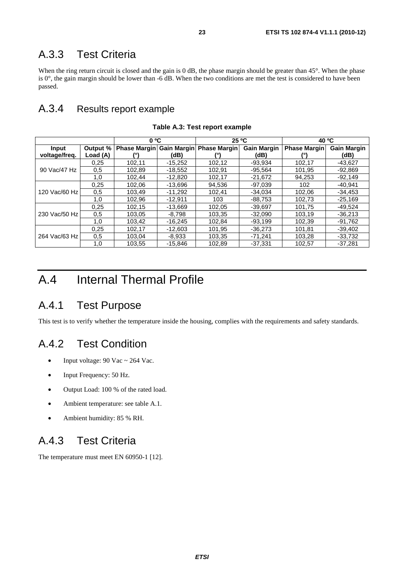### A.3.3 Test Criteria

When the ring return circuit is closed and the gain is 0 dB, the phase margin should be greater than 45°. When the phase is  $0^\circ$ , the gain margin should be lower than -6 dB. When the two conditions are met the test is considered to have been passed.

### A.3.4 Results report example

|               |          | $0^{\circ}$ C |           | 25 °C                                 |                    | 40 °C               |                    |
|---------------|----------|---------------|-----------|---------------------------------------|--------------------|---------------------|--------------------|
| Input         | Output % |               |           | Phase Margin Gain Margin Phase Margin | <b>Gain Margin</b> | <b>Phase Margin</b> | <b>Gain Margin</b> |
| voltage/freg. | Load (A) |               | (dB)      |                                       | (dB)               |                     | (dB)               |
|               | 0.25     | 102,11        | $-15,252$ | 102,12                                | $-93,934$          | 102,17              | $-43,627$          |
| 90 Vac/47 Hz  | 0,5      | 102,89        | $-18,552$ | 102,91                                | $-95,564$          | 101,95              | $-92,869$          |
|               | 1,0      | 102,44        | -12,820   | 102,17                                | $-21,672$          | 94,253              | $-92,149$          |
|               | 0.25     | 102.06        | -13.696   | 94.536                                | $-97.039$          | 102                 | $-40.941$          |
| 120 Vac/60 Hz | 0.5      | 103,49        | $-11.292$ | 102,41                                | $-34.034$          | 102,06              | $-34,453$          |
|               | 1.0      | 102.96        | $-12.911$ | 103                                   | $-88.753$          | 102.73              | $-25.169$          |
|               | 0.25     | 102,15        | $-13.669$ | 102.05                                | $-39.697$          | 101,75              | $-49.524$          |
| 230 Vac/50 Hz | 0.5      | 103.05        | $-8.798$  | 103.35                                | $-32.090$          | 103.19              | $-36.213$          |
|               | 1.0      | 103.42        | $-16.245$ | 102.84                                | $-93.199$          | 102.39              | $-91.762$          |
|               | 0.25     | 102.17        | $-12.603$ | 101.95                                | $-36.273$          | 101.81              | $-39,402$          |
| 264 Vac/63 Hz | 0,5      | 103.04        | $-8,933$  | 103,35                                | $-71,241$          | 103,28              | $-33,732$          |
|               | 1.0      | 103,55        | $-15.846$ | 102,89                                | $-37,331$          | 102,57              | $-37,281$          |

**Table A.3: Test report example** 

## A.4 Internal Thermal Profile

### A.4.1 Test Purpose

This test is to verify whether the temperature inside the housing, complies with the requirements and safety standards.

## A.4.2 Test Condition

- Input voltage:  $90$  Vac ~ 264 Vac.
- Input Frequency: 50 Hz.
- Output Load: 100 % of the rated load.
- Ambient temperature: see table A.1.
- Ambient humidity: 85 % RH.

### A.4.3 Test Criteria

The temperature must meet EN 60950-1 [12].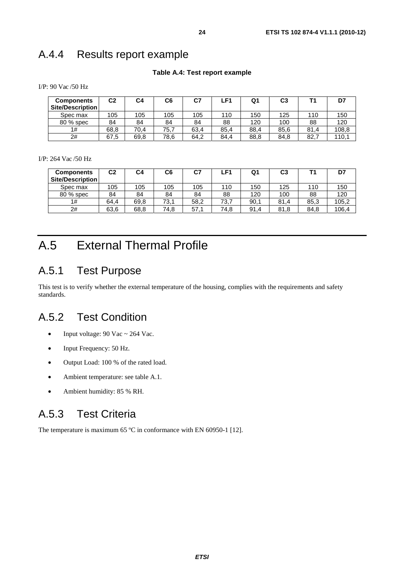## A.4.4 Results report example

#### **Table A.4: Test report example**

I/P: 90 Vac /50 Hz

| <b>Components</b><br>Site/Description | C <sub>2</sub> | C4   | C6   | C7   | ∟F1. | Q٠   | C3   |      | D7    |
|---------------------------------------|----------------|------|------|------|------|------|------|------|-------|
| Spec max                              | 105            | 105  | 105  | 105  | 110  | 150  | 125  | 110  | 150   |
| 80 % spec                             | 84             | 84   | 84   | 84   | 88   | 120  | 100  | 88   | 120   |
| 1#                                    | 68,8           | 70.4 | 75,7 | 63,4 | 85,4 | 88,4 | 85,6 | 81,4 | 108,8 |
| 2#                                    | 67,5           | 69.8 | 78,6 | 64.2 | 84.4 | 88,8 | 84,8 | 82.7 | 110,1 |

I/P: 264 Vac /50 Hz

| <b>Components</b><br>Site/Description | C <sub>2</sub> | C4   | C6   | C7   | ∟F1. | Q1   | C <sub>3</sub> |      | D7    |
|---------------------------------------|----------------|------|------|------|------|------|----------------|------|-------|
| Spec max                              | 105            | 105  | 105  | 105  | 110  | 150  | 125            | 110  | 150   |
| 80 % spec                             | 84             | 84   | 84   | 84   | 88   | 120  | 100            | 88   | 120   |
| 1#                                    | 64.4           | 69.8 | 73.1 | 58,2 | 73,7 | 90,1 | 81<br>.4       | 85,3 | 105,2 |
| 2#                                    | 63,6           | 68,8 | 74,8 | 57.1 | 74,8 | 91.4 | 81,8           | 84.8 | 106,4 |

## A.5 External Thermal Profile

## A.5.1 Test Purpose

This test is to verify whether the external temperature of the housing, complies with the requirements and safety standards.

## A.5.2 Test Condition

- Input voltage:  $90$  Vac ~  $264$  Vac.
- Input Frequency: 50 Hz.
- Output Load: 100 % of the rated load.
- Ambient temperature: see table A.1.
- Ambient humidity: 85 % RH.

## A.5.3 Test Criteria

The temperature is maximum 65 °C in conformance with EN 60950-1 [12].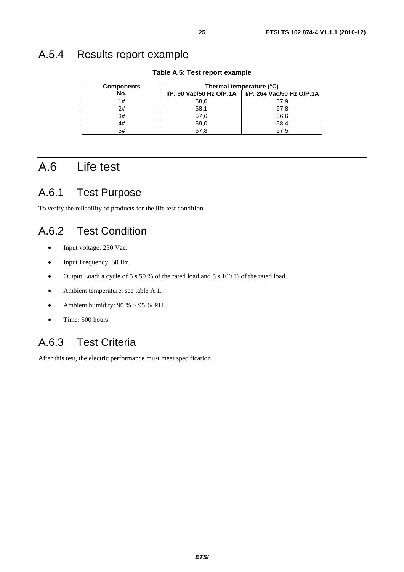### A.5.4 Results report example

| <b>Components</b> | Thermal temperature (°C) |                                                      |  |  |  |  |
|-------------------|--------------------------|------------------------------------------------------|--|--|--|--|
| No.               |                          | I/P: 90 Vac/50 Hz O/P:1A   I/P: 264 Vac/50 Hz O/P:1A |  |  |  |  |
| 1#                | 58,6                     | 57.9                                                 |  |  |  |  |
| 2#                | 58,1                     | 57.8                                                 |  |  |  |  |
| 3#                | 57.6                     | 56,6                                                 |  |  |  |  |
| 4#                | 59,0                     | 58,4                                                 |  |  |  |  |
| 5#                | 57.8                     | 57.5                                                 |  |  |  |  |

#### **Table A.5: Test report example**

## A.6 Life test

### A.6.1 Test Purpose

To verify the reliability of products for the life test condition.

### A.6.2 Test Condition

- Input voltage: 230 Vac.
- Input Frequency: 50 Hz.
- Output Load: a cycle of 5 s 50 % of the rated load and 5 s 100 % of the rated load.
- Ambient temperature: see table A.1.
- Ambient humidity:  $90\% \sim 95\% \text{ RH}.$
- Time: 500 hours.

## A.6.3 Test Criteria

After this test, the electric performance must meet specification.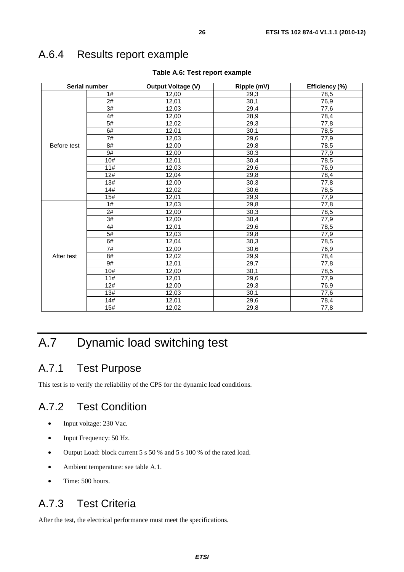## A.6.4 Results report example

| Serial number |                 | <b>Output Voltage (V)</b> | Ripple (mV) | Efficiency (%) |  |
|---------------|-----------------|---------------------------|-------------|----------------|--|
|               | 1#              | 12,00                     | 29,3        | 78,5           |  |
|               | 2#              | 12,01                     | 30,1        | 76,9           |  |
|               | 3#              | 12,03                     | 29,4        | 77,6           |  |
|               | 4#              | 12,00                     | 28,9        | 78,4           |  |
|               | 5#              | 12,02                     | 29,3        | 77,8           |  |
|               | 6#              | 12,01                     | 30,1        | 78,5           |  |
|               | 7#              | 12,03                     | 29,6        | 77,9           |  |
| Before test   | 8#              | 12,00                     | 29,8        | 78,5           |  |
|               | 9#              | 12,00                     | 30,3        | 77,9           |  |
|               | 10#             | 12,01                     | 30,4        | 78,5           |  |
|               | 11#             | 12,03                     | 29,6        | 76,9           |  |
|               | 12#             | 12,04                     | 29,8        | 78,4           |  |
|               | 13#             | 12,00                     | 30,3        | 77,8           |  |
|               | 14#             | 12,02                     | 30,6        | 78,5           |  |
|               | 15#             | 12,01                     | 29,9        | 77,9           |  |
|               | 1#              | 12,03                     | 29,8        | 77,8           |  |
|               | 2#              | 12,00                     | 30,3        | 78,5           |  |
|               | $\overline{3#}$ | 12,00                     | 30,4        | 77,9           |  |
|               | 4#              | 12,01                     | 29,6        | 78,5           |  |
|               | 5#              | 12,03                     | 29,8        | 77,9           |  |
|               | 6#              | 12,04                     | 30,3        | 78,5           |  |
|               | 7#              | 12,00                     | 30,6        | 76,9           |  |
| After test    | 8#              | 12,02                     | 29,9        | 78,4           |  |
|               | 9#              | 12,01                     | 29,7        | 77,8           |  |
|               | 10#             | 12,00                     | 30,1        | 78,5           |  |
|               | 11#             | 12,01                     | 29,6        | 77,9           |  |
|               | 12#             | 12,00                     | 29,3        | 76,9           |  |
|               | 13#             | 12,03                     | 30,1        | 77,6           |  |
|               | 14#             | 12,01                     | 29,6        | 78,4           |  |
|               | 15#             | 12,02                     | 29,8        | 77,8           |  |

#### **Table A.6: Test report example**

## A.7 Dynamic load switching test

## A.7.1 Test Purpose

This test is to verify the reliability of the CPS for the dynamic load conditions.

## A.7.2 Test Condition

- Input voltage: 230 Vac.
- Input Frequency: 50 Hz.
- Output Load: block current 5 s 50 % and 5 s 100 % of the rated load.
- Ambient temperature: see table A.1.
- Time: 500 hours.

## A.7.3 Test Criteria

After the test, the electrical performance must meet the specifications.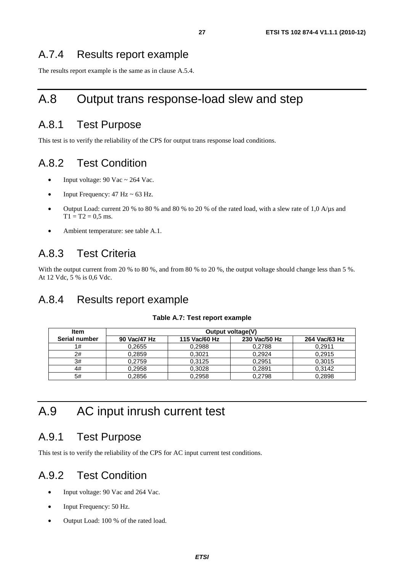### A.7.4 Results report example

The results report example is the same as in clause A.5.4.

## A.8 Output trans response-load slew and step

### A.8.1 Test Purpose

This test is to verify the reliability of the CPS for output trans response load conditions.

### A.8.2 Test Condition

- Input voltage:  $90$  Vac ~ 264 Vac.
- Input Frequency:  $47$  Hz  $\sim$  63 Hz.
- Output Load: current 20 % to 80 % and 80 % to 20 % of the rated load, with a slew rate of 1,0 A/ $\mu$ s and  $T1 = T2 = 0.5$  ms.
- Ambient temperature: see table A.1.

### A.8.3 Test Criteria

With the output current from 20 % to 80 %, and from 80 % to 20 %, the output voltage should change less than 5 %. At 12 Vdc, 5 % is 0,6 Vdc.

### A.8.4 Results report example

#### **Table A.7: Test report example**

| <b>Item</b>   | <b>Output voltage(V)</b> |               |               |               |  |  |  |  |  |
|---------------|--------------------------|---------------|---------------|---------------|--|--|--|--|--|
| Serial number | 90 Vac/47 Hz             | 115 Vac/60 Hz | 230 Vac/50 Hz | 264 Vac/63 Hz |  |  |  |  |  |
| 1#            | 0.2655                   | 0.2988        | 0.2788        | 0.2911        |  |  |  |  |  |
| 2#            | 0,2859                   | 0.3021        | 0.2924        | 0,2915        |  |  |  |  |  |
| 3#            | 0.2759                   | 0.3125        | 0.2951        | 0,3015        |  |  |  |  |  |
| 4#            | 0,2958                   | 0.3028        | 0.2891        | 0.3142        |  |  |  |  |  |
| 5#            | 0.2856                   | 0.2958        | 0.2798        | 0.2898        |  |  |  |  |  |

## A.9 AC input inrush current test

#### A.9.1 Test Purpose

This test is to verify the reliability of the CPS for AC input current test conditions.

### A.9.2 Test Condition

- Input voltage: 90 Vac and 264 Vac.
- Input Frequency: 50 Hz.
- Output Load: 100 % of the rated load.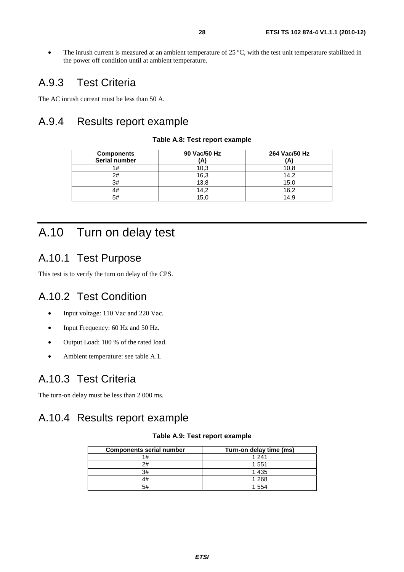• The inrush current is measured at an ambient temperature of 25 °C, with the test unit temperature stabilized in the power off condition until at ambient temperature.

## A.9.3 Test Criteria

The AC inrush current must be less than 50 A.

## A.9.4 Results report example

| <b>Components</b> | 90 Vac/50 Hz | 264 Vac/50 Hz |
|-------------------|--------------|---------------|
| Serial number     | (A)          | Ά             |
| 1#                | 10,3         | 10,8          |
| 2#                | 16,3         | 14.2          |
| 3#                | 13,8         | 15,0          |
| 4#                | 14.2         | 16,2          |
| 5#                | 15.0         | 14.9          |

#### **Table A.8: Test report example**

## A.10 Turn on delay test

## A.10.1 Test Purpose

This test is to verify the turn on delay of the CPS.

## A.10.2 Test Condition

- Input voltage: 110 Vac and 220 Vac.
- Input Frequency: 60 Hz and 50 Hz.
- Output Load: 100 % of the rated load.
- Ambient temperature: see table A.1.

### A.10.3 Test Criteria

The turn-on delay must be less than 2 000 ms.

## A.10.4 Results report example

#### **Table A.9: Test report example**

| <b>Components serial number</b> | Turn-on delay time (ms) |  |  |  |  |
|---------------------------------|-------------------------|--|--|--|--|
|                                 | 1 241                   |  |  |  |  |
| 2#                              | 1 5 5 1                 |  |  |  |  |
| 3#                              | 1 4 3 5                 |  |  |  |  |
|                                 | 1 2 6 8                 |  |  |  |  |
|                                 | 554                     |  |  |  |  |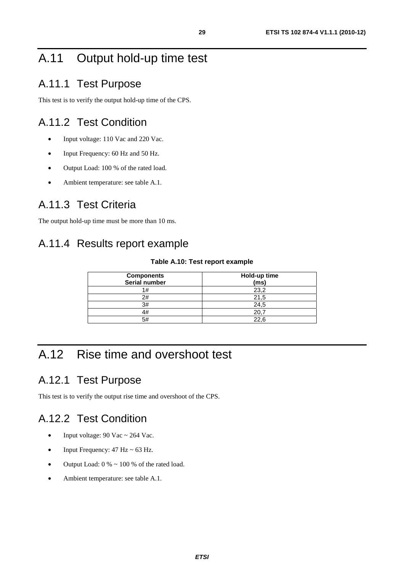## A.11 Output hold-up time test

## A.11.1 Test Purpose

This test is to verify the output hold-up time of the CPS.

## A.11.2 Test Condition

- Input voltage: 110 Vac and 220 Vac.
- Input Frequency: 60 Hz and 50 Hz.
- Output Load: 100 % of the rated load.
- Ambient temperature: see table A.1.

## A.11.3 Test Criteria

The output hold-up time must be more than 10 ms.

## A.11.4 Results report example

#### **Table A.10: Test report example**

| <b>Components</b><br>Serial number | Hold-up time<br>(ms) |
|------------------------------------|----------------------|
| ۱#                                 | 23,2                 |
| 2#                                 | 21.5                 |
| 3#                                 | 24.5                 |
| 1#                                 |                      |
| 5#                                 | 22.6                 |

## A.12 Rise time and overshoot test

## A.12.1 Test Purpose

This test is to verify the output rise time and overshoot of the CPS.

## A.12.2 Test Condition

- Input voltage:  $90$  Vac ~  $264$  Vac.
- Input Frequency:  $47 \text{ Hz} \sim 63 \text{ Hz}$ .
- Output Load:  $0\% \sim 100\%$  of the rated load.
- Ambient temperature: see table A.1.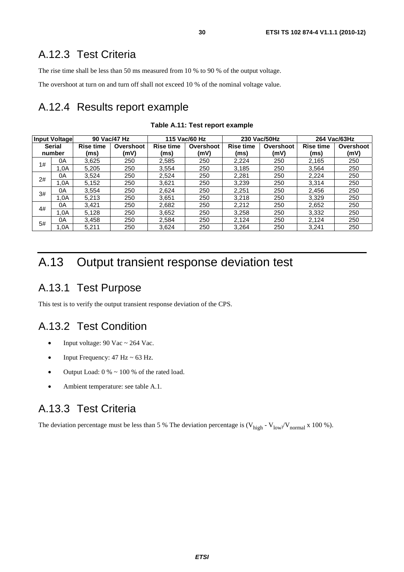## A.12.3 Test Criteria

The rise time shall be less than 50 ms measured from 10 % to 90 % of the output voltage.

The overshoot at turn on and turn off shall not exceed 10 % of the nominal voltage value.

## A.12.4 Results report example

| <b>Input Voltage</b> |        |                               | 90 Vac/47 Hz |                  | 115 Vac/60 Hz |       | 230 Vac/50Hz                  | 264 Vac/63Hz |           |  |
|----------------------|--------|-------------------------------|--------------|------------------|---------------|-------|-------------------------------|--------------|-----------|--|
| <b>Serial</b>        |        | <b>Rise time</b><br>Overshoot |              | <b>Rise time</b> | Overshoot     |       | <b>Rise time</b><br>Overshoot |              | Overshoot |  |
|                      | number | (ms)                          | (mV)         | (ms)             | (mV)          | (ms)  | (mV)                          | (ms)         | (mV)      |  |
| 1#                   | 0A     | 3,625                         | 250          | 2,585            | 250           | 2,224 | 250                           | 2,165        | 250       |  |
|                      | 1.0A   | 5,205                         | 250          | 3,554            | 250           | 3,185 | 250                           | 3,564        | 250       |  |
| 2#                   | 0А     | 3,524                         | 250          | 2,524            | 250           | 2,281 | 250                           | 2.224        | 250       |  |
|                      | 1.0A   | 5,152                         | 250          | 3,621            | 250           | 3,239 | 250                           | 3,314        | 250       |  |
| 3#                   | 0Α     | 3.554                         | 250          | 2.624            | 250           | 2,251 | 250                           | 2.456        | 250       |  |
|                      | 1.0A   | 5,213                         | 250          | 3,651            | 250           | 3,218 | 250                           | 3,329        | 250       |  |
| 4#                   | 0А     | 3,421                         | 250          | 2,682            | 250           | 2,212 | 250                           | 2,652        | 250       |  |
|                      | 1.0A   | 5,128                         | 250          | 3,652            | 250           | 3,258 | 250                           | 3,332        | 250       |  |
| 5#                   | 0А     | 3,458                         | 250          | 2,584            | 250           | 2,124 | 250                           | 2,124        | 250       |  |
|                      | 1.0A   | 5,211                         | 250          | 3,624            | 250           | 3,264 | 250                           | 3,241        | 250       |  |

**Table A.11: Test report example** 

## A.13 Output transient response deviation test

### A.13.1 Test Purpose

This test is to verify the output transient response deviation of the CPS.

## A.13.2 Test Condition

- Input voltage:  $90$  Vac ~ 264 Vac.
- Input Frequency:  $47 \text{ Hz} \sim 63 \text{ Hz}$ .
- Output Load:  $0\% \sim 100\%$  of the rated load.
- Ambient temperature: see table A.1.

### A.13.3 Test Criteria

The deviation percentage must be less than 5 % The deviation percentage is  $(V_{high} - V_{low}/V_{normal} \times 100 \%)$ .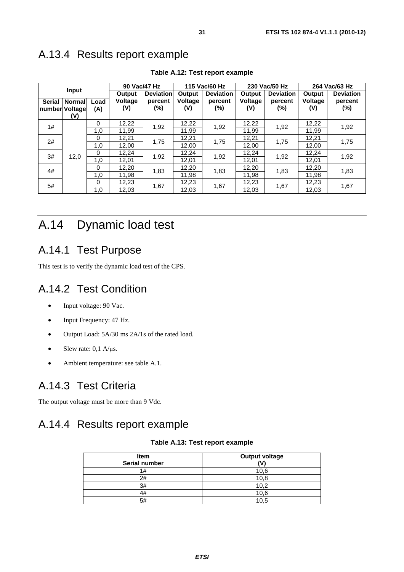## A.13.4 Results report example

|               |                |          |                  | 90 Vac/47 Hz |                  | 115 Vac/60 Hz |                  | 230 Vac/50 Hz | 264 Vac/63 Hz    |         |
|---------------|----------------|----------|------------------|--------------|------------------|---------------|------------------|---------------|------------------|---------|
| <b>Input</b>  |                | Output   | <b>Deviation</b> | Output       | <b>Deviation</b> | Output        | <b>Deviation</b> | Output        | <b>Deviation</b> |         |
| <b>Serial</b> | <b>Normal</b>  | Load     | <b>Voltage</b>   | percent      | Voltage          | percent       | Voltage          | percent       | Voltage          | percent |
|               | number Voltage | (A)      | (V)              | (%)          | (V)              | (%)           | (V)              | (%)           | (V)              | (%)     |
|               | (V)            |          |                  |              |                  |               |                  |               |                  |         |
| 1#            |                | $\Omega$ | 12,22            | 1,92         | 12,22            | 1,92          | 12,22            | 1,92          | 12,22            | 1,92    |
|               |                | 1,0      | 11,99            |              | 11,99            |               | 11,99            |               | 11,99            |         |
| 2#            |                | $\Omega$ | 12,21            | 1,75         | 12,21            |               | 12,21            | 1,75          | 12,21            | 1,75    |
|               |                | 1,0      | 12,00            |              | 12,00            | 1,75          | 12,00            |               | 12,00            |         |
| 3#            | 12,0           | $\Omega$ | 12,24            | 1,92         | 12,24            |               | 12,24            |               | 12,24            | 1,92    |
|               |                | 1,0      | 12,01            |              | 12,01            | 1,92          | 12,01            | 1,92          | 12,01            |         |
| 4#            |                | $\Omega$ | 12,20            |              | 12,20            |               | 12,20            |               | 12,20            |         |
|               |                | 1,0      | 11,98            | 1,83         | 11,98            | 1,83          | 11,98            | 1,83          | 11,98            | 1,83    |
| 5#            |                | $\Omega$ | 12,23            |              | 12,23            |               | 12,23            |               | 12,23            |         |
|               |                | 1,0      | 12,03            | 1,67         | 12,03            | 1,67          | 12,03            | 1,67          | 12,03            | 1,67    |

**Table A.12: Test report example** 

## A.14 Dynamic load test

### A.14.1 Test Purpose

This test is to verify the dynamic load test of the CPS.

### A.14.2 Test Condition

- Input voltage: 90 Vac.
- Input Frequency: 47 Hz.
- Output Load: 5A/30 ms 2A/1s of the rated load.
- Slew rate:  $0,1$  A/ $\mu$ s.
- Ambient temperature: see table A.1.

## A.14.3 Test Criteria

The output voltage must be more than 9 Vdc.

## A.14.4 Results report example

#### **Table A.13: Test report example**

| <b>Item</b><br>Serial number | <b>Output voltage</b><br>W١ |
|------------------------------|-----------------------------|
| 1#                           | 10,6                        |
| 2#                           | 10,8                        |
| 3#                           | 10.2                        |
| 4#                           | 10,6                        |
| 5#                           | 10.5                        |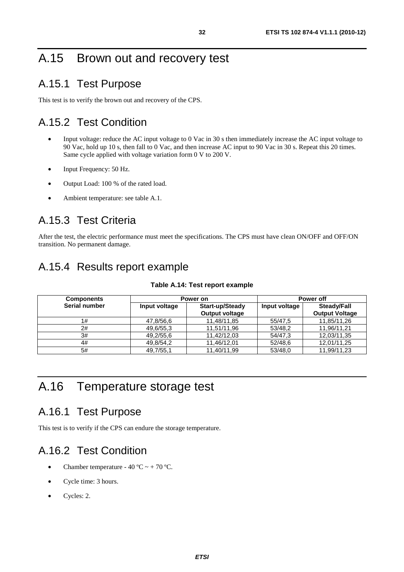## A.15 Brown out and recovery test

### A.15.1 Test Purpose

This test is to verify the brown out and recovery of the CPS.

## A.15.2 Test Condition

- Input voltage: reduce the AC input voltage to 0 Vac in 30 s then immediately increase the AC input voltage to 90 Vac, hold up 10 s, then fall to 0 Vac, and then increase AC input to 90 Vac in 30 s. Repeat this 20 times. Same cycle applied with voltage variation form 0 V to 200 V.
- Input Frequency: 50 Hz.
- Output Load: 100 % of the rated load.
- Ambient temperature: see table A.1.

## A.15.3 Test Criteria

After the test, the electric performance must meet the specifications. The CPS must have clean ON/OFF and OFF/ON transition. No permanent damage.

## A.15.4 Results report example

| <b>Components</b> |               | Power on              | <b>Power off</b> |                       |
|-------------------|---------------|-----------------------|------------------|-----------------------|
| Serial number     | Input voltage | Start-up/Steady       | Input voltage    | Steady/Fall           |
|                   |               | <b>Output voltage</b> |                  | <b>Output Voltage</b> |
| 1#                | 47,8/56,6     | 11,48/11,85           | 55/47.5          | 11,85/11,26           |
| 2#                | 49,6/55,3     | 11,51/11,96           | 53/48,2          | 11,96/11,21           |
| 3#                | 49,2/55,6     | 11,42/12,03           | 54/47.3          | 12,03/11,35           |
| 4#                | 49,8/54,2     | 11,46/12,01           | 52/48,6          | 12,01/11,25           |
| 5#                | 49,7/55,1     | 11,40/11,99           | 53/48.0          | 11,99/11,23           |

#### **Table A.14: Test report example**

## A.16 Temperature storage test

### A.16.1 Test Purpose

This test is to verify if the CPS can endure the storage temperature.

## A.16.2 Test Condition

- Chamber temperature  $40 °C \sim +70 °C$ .
- Cycle time: 3 hours.
- Cycles: 2.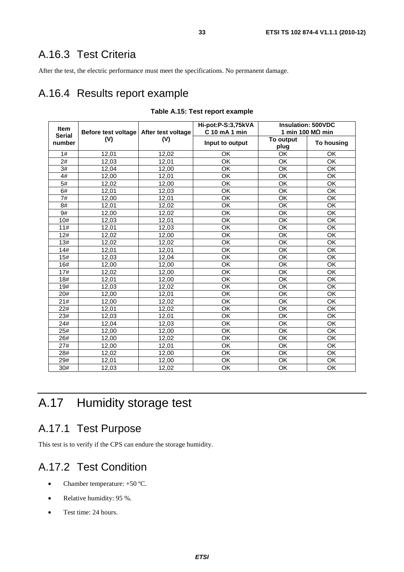## A.16.3 Test Criteria

After the test, the electric performance must meet the specifications. No permanent damage.

### A.16.4 Results report example

| <b>Item</b><br><b>Serial</b> | Before test voltage   After test voltage |       | Hi-pot:P-S:3,75kVA<br>C 10 mA 1 min | <b>Insulation: 500VDC</b> | 1 min 100 M $\Omega$ min |
|------------------------------|------------------------------------------|-------|-------------------------------------|---------------------------|--------------------------|
| number                       | (V)                                      | (V)   | Input to output                     | To output<br>plug         | <b>To housing</b>        |
| 1#                           | 12,01                                    | 12,02 | OK                                  | OK                        | OK                       |
| 2#                           | 12,03                                    | 12,01 | OK                                  | OK                        | OK                       |
| 3#                           | 12,04                                    | 12,00 | $\overline{\mathsf{OK}}$            | $\overline{OK}$           | OK                       |
| 4#                           | 12,00                                    | 12,01 | OK                                  | OK                        | OK                       |
| 5#                           | 12,02                                    | 12,00 | OK                                  | OK                        | OK                       |
| 6#                           | 12,01                                    | 12,03 | $\overline{\mathsf{OK}}$            | $\overline{OK}$           | OK                       |
| 7#                           | 12,00                                    | 12,01 | OK                                  | OK                        | OK                       |
| 8#                           | 12,01                                    | 12,02 | $\overline{\mathsf{OK}}$            | $\overline{OK}$           | $\overline{OK}$          |
| 9#                           | 12,00                                    | 12,02 | OK                                  | OK                        | OK                       |
| 10#                          | 12,03                                    | 12,01 | OK                                  | OK                        | OK                       |
| 11#                          | 12,01                                    | 12,03 | OK                                  | OK                        | OK                       |
| 12#                          | 12,02                                    | 12,00 | $\overline{\mathsf{OK}}$            | $\overline{OK}$           | OK                       |
| 13#                          | 12,02                                    | 12,02 | OK                                  | OK                        | OK                       |
| 14#                          | 12,01                                    | 12,01 | OK                                  | OK                        | OK                       |
| 15#                          | 12,03                                    | 12,04 | $\overline{\mathsf{OK}}$            | OK                        | OK                       |
| 16#                          | 12,00                                    | 12,00 | $\overline{\mathsf{OK}}$            | $\overline{\mathsf{OK}}$  | $\overline{\mathsf{OK}}$ |
| 17#                          | 12,02                                    | 12,00 | OK                                  | OK                        | OK                       |
| 18#                          | 12,01                                    | 12,00 | OK                                  | OK                        | OK                       |
| 19#                          | 12,03                                    | 12,02 | OK                                  | OK                        | OK                       |
| 20#                          | 12,00                                    | 12,01 | $\overline{\mathsf{OK}}$            | $\overline{OK}$           | $\overline{\mathsf{OK}}$ |
| 21#                          | 12,00                                    | 12,02 | OK                                  | OK                        | OK                       |
| 22#                          | 12,01                                    | 12,02 | OK                                  | OK                        | OK                       |
| 23#                          | 12,03                                    | 12,01 | OK                                  | OK                        | OK                       |
| 24#                          | 12,04                                    | 12,03 | OK                                  | OK                        | OK                       |
| 25#                          | 12,00                                    | 12,00 | $\overline{\mathsf{OK}}$            | $\overline{OK}$           | OK                       |
| 26#                          | 12,00                                    | 12,02 | OK                                  | OK                        | OK                       |
| 27#                          | 12,00                                    | 12,01 | $\overline{\mathsf{OK}}$            | $\overline{OK}$           | $\overline{OK}$          |
| 28#                          | 12,02                                    | 12,00 | OK                                  | OK                        | OK                       |
| 29#                          | 12,01                                    | 12,00 | OK                                  | OK                        | OK                       |
| 30#                          | 12,03                                    | 12.02 | $\overline{OK}$                     | $\overline{OK}$           | $\overline{OK}$          |

#### **Table A.15: Test report example**

## A.17 Humidity storage test

### A.17.1 Test Purpose

This test is to verify if the CPS can endure the storage humidity.

## A.17.2 Test Condition

- Chamber temperature: +50 °C.
- Relative humidity: 95 %.
- Test time: 24 hours.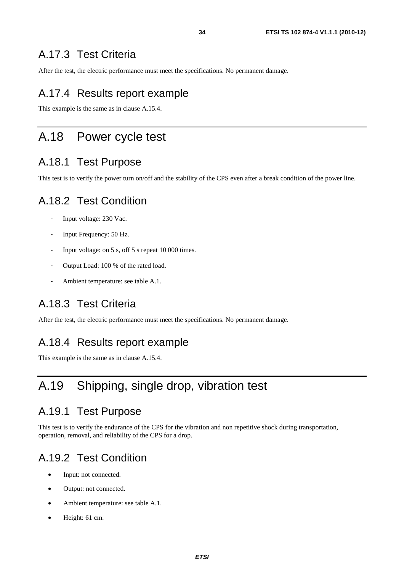## A.17.3 Test Criteria

After the test, the electric performance must meet the specifications. No permanent damage.

## A.17.4 Results report example

This example is the same as in clause A.15.4.

## A.18 Power cycle test

### A.18.1 Test Purpose

This test is to verify the power turn on/off and the stability of the CPS even after a break condition of the power line.

### A.18.2 Test Condition

- Input voltage: 230 Vac.
- Input Frequency: 50 Hz.
- Input voltage: on 5 s, off 5 s repeat 10 000 times.
- Output Load: 100 % of the rated load.
- Ambient temperature: see table A.1.

### A.18.3 Test Criteria

After the test, the electric performance must meet the specifications. No permanent damage.

### A.18.4 Results report example

This example is the same as in clause A.15.4.

## A.19 Shipping, single drop, vibration test

### A.19.1 Test Purpose

This test is to verify the endurance of the CPS for the vibration and non repetitive shock during transportation, operation, removal, and reliability of the CPS for a drop.

## A.19.2 Test Condition

- Input: not connected.
- Output: not connected.
- Ambient temperature: see table A.1.
- Height: 61 cm.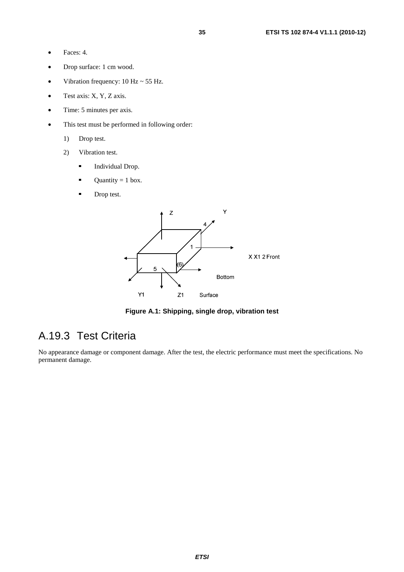- Faces: 4.
- Drop surface: 1 cm wood.
- Vibration frequency:  $10 \text{ Hz} \sim 55 \text{ Hz}$ .
- Test axis: X, Y, Z axis.
- Time: 5 minutes per axis.
- This test must be performed in following order:
	- 1) Drop test.
	- 2) Vibration test.
		- Individual Drop.<br> $\blacksquare$  Ouantity = 1 box
		- Quantity = 1 box.<br>
		Drop test
		- Drop test.



**Figure A.1: Shipping, single drop, vibration test** 

## A.19.3 Test Criteria

No appearance damage or component damage. After the test, the electric performance must meet the specifications. No permanent damage.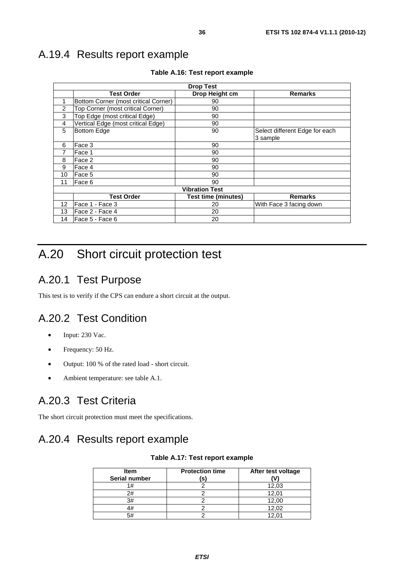## A.19.4 Results report example

| <b>Drop Test</b> |                                      |                            |                                            |  |  |  |
|------------------|--------------------------------------|----------------------------|--------------------------------------------|--|--|--|
|                  | <b>Test Order</b>                    | Drop Height cm             | <b>Remarks</b>                             |  |  |  |
| 1                | Bottom Corner (most critical Corner) | 90                         |                                            |  |  |  |
| $\overline{2}$   | Top Corner (most critical Corner)    | 90                         |                                            |  |  |  |
| 3                | Top Edge (most critical Edge)        | 90                         |                                            |  |  |  |
| 4                | Vertical Edge (most critical Edge)   | 90                         |                                            |  |  |  |
| 5                | <b>Bottom Edge</b>                   | 90                         | Select different Edge for each<br>3 sample |  |  |  |
| 6                | Face 3                               | 90                         |                                            |  |  |  |
| 7                | Face 1                               | 90                         |                                            |  |  |  |
| 8                | Face 2                               | 90                         |                                            |  |  |  |
| 9                | Face 4                               | 90                         |                                            |  |  |  |
| 10               | Face 5                               | 90                         |                                            |  |  |  |
| 11               | Face 6                               | 90                         |                                            |  |  |  |
|                  | <b>Vibration Test</b>                |                            |                                            |  |  |  |
|                  | <b>Test Order</b>                    | <b>Test time (minutes)</b> | <b>Remarks</b>                             |  |  |  |
| 12 <sup>°</sup>  | Face 1 - Face 3                      | 20                         | With Face 3 facing down                    |  |  |  |
| 13               | Face 2 - Face 4                      | 20                         |                                            |  |  |  |
| 14               | lFace 5 - Face 6                     | 20                         |                                            |  |  |  |

**Table A.16: Test report example** 

## A.20 Short circuit protection test

## A.20.1 Test Purpose

This test is to verify if the CPS can endure a short circuit at the output.

## A.20.2 Test Condition

- Input: 230 Vac.
- Frequency: 50 Hz.
- Output: 100 % of the rated load short circuit.
- Ambient temperature: see table A.1.

## A.20.3 Test Criteria

The short circuit protection must meet the specifications.

## A.20.4 Results report example

#### **Table A.17: Test report example**

| <b>Item</b><br>Serial number | <b>Protection time</b><br>(s) | After test voltage |
|------------------------------|-------------------------------|--------------------|
| 1#                           |                               | 12,03              |
| 2#                           |                               | 12,01              |
| 3#                           |                               | 12,00              |
| 4#                           |                               | 12,02              |
| 5#                           |                               |                    |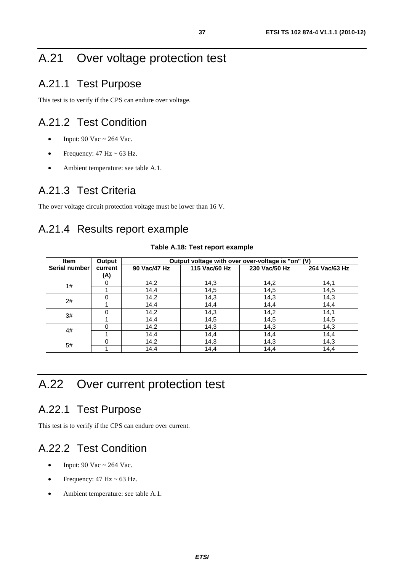## A.21 Over voltage protection test

## A.21.1 Test Purpose

This test is to verify if the CPS can endure over voltage.

## A.21.2 Test Condition

- Input:  $90$  Vac ~ 264 Vac.
- Frequency:  $47 \text{ Hz} \approx 63 \text{ Hz}.$
- Ambient temperature: see table A.1.

## A.21.3 Test Criteria

The over voltage circuit protection voltage must be lower than 16 V.

## A.21.4 Results report example

#### **Table A.18: Test report example**

| <b>Item</b>   | Output         | Output voltage with over over-voltage is "on" (V) |               |               |               |  |
|---------------|----------------|---------------------------------------------------|---------------|---------------|---------------|--|
| Serial number | current<br>(A) | 90 Vac/47 Hz                                      | 115 Vac/60 Hz | 230 Vac/50 Hz | 264 Vac/63 Hz |  |
|               | $\Omega$       | 14,2                                              | 14,3          | 14,2          | 14,1          |  |
| 1#            |                | 14,4                                              | 14,5          | 14,5          | 14,5          |  |
| 2#            | $\Omega$       | 14,2                                              | 14,3          | 14,3          | 14,3          |  |
|               |                | 14,4                                              | 14,4          | 14,4          | 14,4          |  |
| 3#            | $\Omega$       | 14,2                                              | 14,3          | 14,2          | 14,1          |  |
|               |                | 14,4                                              | 14,5          | 14,5          | 14,5          |  |
| 4#            | $\Omega$       | 14,2                                              | 14,3          | 14,3          | 14,3          |  |
|               |                | 14,4                                              | 14,4          | 14,4          | 14,4          |  |
|               | $\Omega$       | 14,2                                              | 14,3          | 14,3          | 14,3          |  |
| 5#            |                | 14,4                                              | 14,4          | 14,4          | 14,4          |  |

## A.22 Over current protection test

## A.22.1 Test Purpose

This test is to verify if the CPS can endure over current.

## A.22.2 Test Condition

- Input:  $90$  Vac ~ 264 Vac.
- Frequency:  $47 \text{ Hz} \approx 63 \text{ Hz}.$
- Ambient temperature: see table A.1.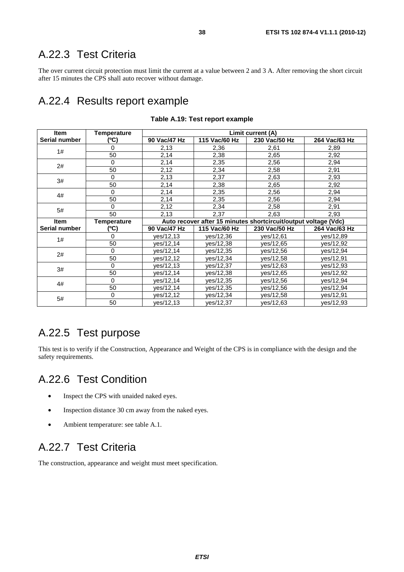## A.22.3 Test Criteria

The over current circuit protection must limit the current at a value between 2 and 3 A. After removing the short circuit after 15 minutes the CPS shall auto recover without damage.

## A.22.4 Results report example

| <b>Item</b>   | Temperature        | Limit current (A) |               |                                                                 |               |  |
|---------------|--------------------|-------------------|---------------|-----------------------------------------------------------------|---------------|--|
| Serial number | (°C)               | 90 Vac/47 Hz      | 115 Vac/60 Hz | 230 Vac/50 Hz                                                   | 264 Vac/63 Hz |  |
| 1#            | 0                  | 2,13              | 2,36          | 2,61                                                            | 2,89          |  |
|               | 50                 | 2,14              | 2,38          | 2,65                                                            | 2,92          |  |
| 2#            | $\Omega$           | 2,14              | 2,35          | 2,56                                                            | 2,94          |  |
|               | 50                 | 2,12              | 2,34          | 2,58                                                            | 2,91          |  |
| 3#            | 0                  | 2,13              | 2,37          | 2,63                                                            | 2,93          |  |
|               | 50                 | 2,14              | 2,38          | 2,65                                                            | 2,92          |  |
| 4#            | $\Omega$           | 2,14              | 2,35          | 2,56                                                            | 2,94          |  |
|               | 50                 | 2,14              | 2,35          | 2,56                                                            | 2,94          |  |
| 5#            | $\Omega$           | 2,12              | 2,34          | 2,58                                                            | 2,91          |  |
|               | 50                 | 2,13              | 2,37          | 2,63                                                            | 2,93          |  |
| <b>Item</b>   | <b>Temperature</b> |                   |               | Auto recover after 15 minutes shortcircuit/output voltage (Vdc) |               |  |
| Serial number | (°C)               | 90 Vac/47 Hz      | 115 Vac/60 Hz | 230 Vac/50 Hz                                                   | 264 Vac/63 Hz |  |
| 1#            | 0                  | yes/12,13         | yes/12,36     | yes/12,61                                                       | yes/12,89     |  |
|               | 50                 | yes/12,14         | yes/12,38     | yes/12,65                                                       | yes/12,92     |  |
| 2#            | 0                  | ves/12,14         | yes/12,35     | yes/12,56                                                       | yes/12,94     |  |
|               |                    |                   |               |                                                                 |               |  |
|               | 50                 | ves/12,12         | yes/12,34     | yes/12,58                                                       | yes/12,91     |  |
|               | $\Omega$           | yes/12,13         | yes/12,37     | yes/12,63                                                       | yes/12,93     |  |
| 3#            | 50                 | yes/12,14         | yes/12,38     | yes/12,65                                                       | yes/12,92     |  |
|               | $\Omega$           | yes/12,14         | yes/12,35     | yes/12,56                                                       | yes/12,94     |  |
| 4#            | 50                 | yes/12,14         | yes/12,35     | yes/12,56                                                       | yes/12,94     |  |
| 5#            | $\mathbf{0}$<br>50 | yes/12,12         | yes/12,34     | yes/12,58                                                       | yes/12,91     |  |

#### **Table A.19: Test report example**

## A.22.5 Test purpose

This test is to verify if the Construction, Appearance and Weight of the CPS is in compliance with the design and the safety requirements.

## A.22.6 Test Condition

- Inspect the CPS with unaided naked eyes.
- Inspection distance 30 cm away from the naked eyes.
- Ambient temperature: see table A.1.

## A.22.7 Test Criteria

The construction, appearance and weight must meet specification.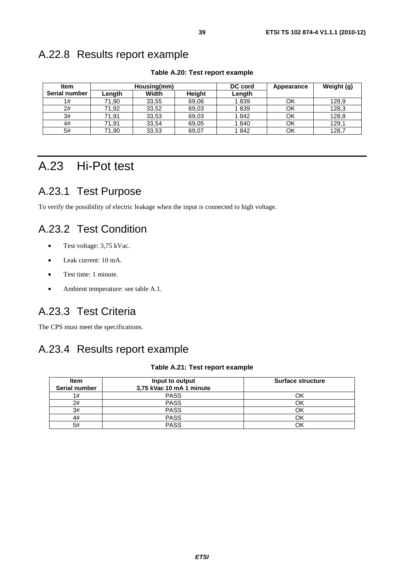## A.22.8 Results report example

| Item          |        | Housing(mm) |               | DC cord | Appearance | Weight (g) |
|---------------|--------|-------------|---------------|---------|------------|------------|
| Serial number | Length | Width       | <b>Height</b> | Length  |            |            |
| 1#            | 71,90  | 33,55       | 69,06         | 1839    | ΟK         | 128,9      |
| 2#            | 71,92  | 33,52       | 69,03         | 1839    | OK         | 128,3      |
| 3#            | 71,91  | 33,53       | 69,03         | 1842    | ΟK         | 128,8      |
| 4#            | 71,91  | 33,54       | 69,05         | 1840    | OK         | 129,1      |
| 5#            | 71,90  | 33,53       | 69.07         | 1842    | OK         | 128,7      |

#### **Table A.20: Test report example**

## A.23 Hi-Pot test

## A.23.1 Test Purpose

To verify the possibility of electric leakage when the input is connected to high voltage.

## A.23.2 Test Condition

- Test voltage: 3,75 kVac.
- Leak current: 10 mA.
- Test time: 1 minute.
- Ambient temperature: see table A.1.

## A.23.3 Test Criteria

The CPS must meet the specifications.

## A.23.4 Results report example

#### **Table A.21: Test report example**

| <b>Item</b><br>Serial number | Input to output<br>3,75 kVac 10 mA 1 minute | <b>Surface structure</b> |
|------------------------------|---------------------------------------------|--------------------------|
| 1#                           | <b>PASS</b>                                 |                          |
| 2#                           | <b>PASS</b>                                 | Jk                       |
| 3#                           | <b>PASS</b>                                 |                          |
| 4#                           | <b>PASS</b>                                 |                          |
| 5#                           | <b>PASS</b>                                 |                          |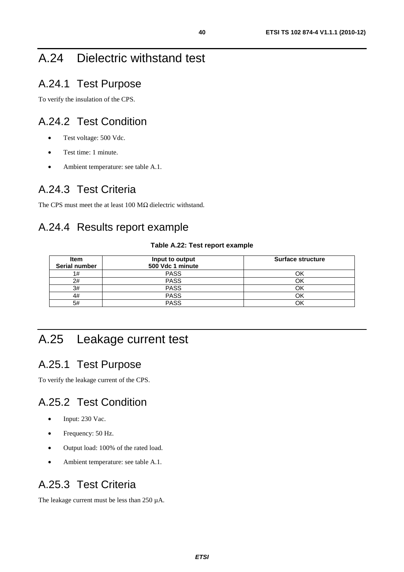## A.24 Dielectric withstand test

## A.24.1 Test Purpose

To verify the insulation of the CPS.

### A.24.2 Test Condition

- Test voltage: 500 Vdc.
- Test time: 1 minute.
- Ambient temperature: see table A.1.

## A.24.3 Test Criteria

The CPS must meet the at least 100 MΩ dielectric withstand.

## A.24.4 Results report example

#### **Table A.22: Test report example**

| Item<br><b>Serial number</b> | Input to output<br>500 Vdc 1 minute | <b>Surface structure</b> |
|------------------------------|-------------------------------------|--------------------------|
| 1#                           | <b>PASS</b>                         |                          |
| 2#                           | <b>PASS</b>                         |                          |
| 3#                           | <b>PASS</b>                         |                          |
| 4#                           | <b>PASS</b>                         | Оk                       |
| 5#                           | <b>PASS</b>                         |                          |

## A.25 Leakage current test

## A.25.1 Test Purpose

To verify the leakage current of the CPS.

## A.25.2 Test Condition

- Input: 230 Vac.
- Frequency: 50 Hz.
- Output load: 100% of the rated load.
- Ambient temperature: see table A.1.

### A.25.3 Test Criteria

The leakage current must be less than 250 µA.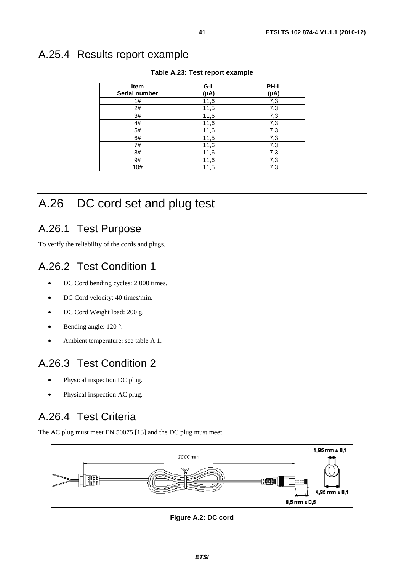## A.25.4 Results report example

| <b>Item</b>   | $G-L$     | PH-L      |
|---------------|-----------|-----------|
| Serial number | $(\mu A)$ | $(\mu A)$ |
| 1#            | 11,6      | 7,3       |
| 2#            | 11,5      | 7,3       |
| 3#            | 11,6      | 7,3       |
| 4#            | 11,6      | 7,3       |
| 5#            | 11,6      | 7,3       |
| 6#            | 11,5      | 7,3       |
| 7#            | 11,6      | 7,3       |
| 8#            | 11,6      | 7,3       |
| 9#            | 11,6      | 7,3       |
| 10#           | 11,5      | 7,3       |

#### **Table A.23: Test report example**

## A.26 DC cord set and plug test

### A.26.1 Test Purpose

To verify the reliability of the cords and plugs.

## A.26.2 Test Condition 1

- DC Cord bending cycles: 2 000 times.
- DC Cord velocity: 40 times/min.
- DC Cord Weight load: 200 g.
- Bending angle: 120 °.
- Ambient temperature: see table A.1.

## A.26.3 Test Condition 2

- Physical inspection DC plug.
- Physical inspection AC plug.

## A.26.4 Test Criteria

The AC plug must meet EN 50075 [13] and the DC plug must meet.



**Figure A.2: DC cord**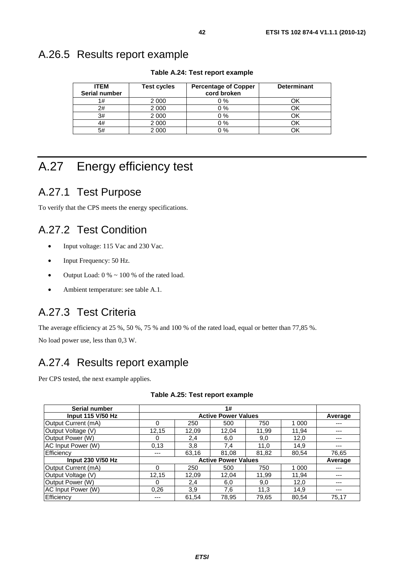## A.26.5 Results report example

| <b>ITEM</b><br>Serial number | <b>Test cycles</b> | <b>Percentage of Copper</b><br>cord broken | <b>Determinant</b> |
|------------------------------|--------------------|--------------------------------------------|--------------------|
| 1#                           | 2 0 0 0            | $0\%$                                      |                    |
| 2#                           | 2 0 0 0            | $0\%$                                      |                    |
| 3#                           | 2 0 0 0            | $0\%$                                      |                    |
| 4#                           | 2 0 0 0            | $0\%$                                      |                    |
| 5#                           | 2 0 0 0            | $0\%$                                      |                    |

**Table A.24: Test report example** 

## A.27 Energy efficiency test

## A.27.1 Test Purpose

To verify that the CPS meets the energy specifications.

## A.27.2 Test Condition

- Input voltage: 115 Vac and 230 Vac.
- Input Frequency: 50 Hz.
- Output Load:  $0\% \sim 100\%$  of the rated load.
- Ambient temperature: see table A.1.

## A.27.3 Test Criteria

The average efficiency at 25 %, 50 %, 75 % and 100 % of the rated load, equal or better than 77,85 %.

No load power use, less than 0,3 W.

## A.27.4 Results report example

Per CPS tested, the next example applies.

| Serial number            |                            |       | 1#    |         |         |       |
|--------------------------|----------------------------|-------|-------|---------|---------|-------|
| <b>Input 115 V/50 Hz</b> | <b>Active Power Values</b> |       |       |         | Average |       |
| Output Current (mA)      | $\Omega$                   | 250   | 500   | 750     | 1 0 0 0 | ---   |
| Output Voltage (V)       | 12,15                      | 12,09 | 12,04 | 11.99   | 11.94   | ---   |
| Output Power (W)         | 0                          | 2,4   | 6,0   | 9,0     | 12,0    |       |
| AC Input Power (W)       | 0.13                       | 3,8   | 7,4   | 11,0    | 14,9    |       |
| Efficiency               | ---                        | 63,16 | 81.08 | 81,82   | 80,54   | 76,65 |
| <b>Input 230 V/50 Hz</b> | <b>Active Power Values</b> |       |       | Average |         |       |
| Output Current (mA)      | 0                          | 250   | 500   | 750     | 1 0 0 0 |       |
| Output Voltage (V)       | 12,15                      | 12,09 | 12,04 | 11,99   | 11,94   |       |
| Output Power (W)         | $\Omega$                   | 2,4   | 6,0   | 9,0     | 12,0    | ---   |
| AC Input Power (W)       | 0.26                       | 3,9   | 7.6   | 11,3    | 14.9    | ---   |
| Efficiency               | ---                        | 61,54 | 78,95 | 79,65   | 80,54   | 75,17 |

#### **Table A.25: Test report example**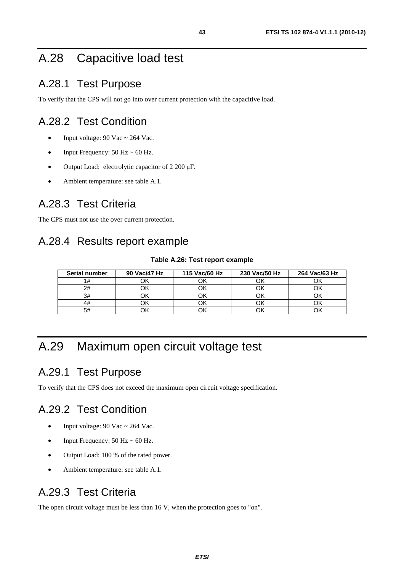## A.28 Capacitive load test

## A.28.1 Test Purpose

To verify that the CPS will not go into over current protection with the capacitive load.

## A.28.2 Test Condition

- Input voltage:  $90$  Vac ~ 264 Vac.
- Input Frequency:  $50$  Hz  $\sim$  60 Hz.
- Output Load: electrolytic capacitor of 2 200 μF.
- Ambient temperature: see table A.1.

### A.28.3 Test Criteria

The CPS must not use the over current protection.

## A.28.4 Results report example

#### **Table A.26: Test report example**

| Serial number | 90 Vac/47 Hz | 115 Vac/60 Hz | 230 Vac/50 Hz | 264 Vac/63 Hz |
|---------------|--------------|---------------|---------------|---------------|
|               |              |               |               |               |
| 2#            |              |               |               |               |
| 3#            |              |               |               |               |
|               |              |               |               |               |
| 5#            |              |               |               |               |

## A.29 Maximum open circuit voltage test

### A.29.1 Test Purpose

To verify that the CPS does not exceed the maximum open circuit voltage specification.

## A.29.2 Test Condition

- Input voltage:  $90$  Vac ~ 264 Vac.
- Input Frequency:  $50$  Hz  $\sim 60$  Hz.
- Output Load: 100 % of the rated power.
- Ambient temperature: see table A.1.

## A.29.3 Test Criteria

The open circuit voltage must be less than 16 V, when the protection goes to "on".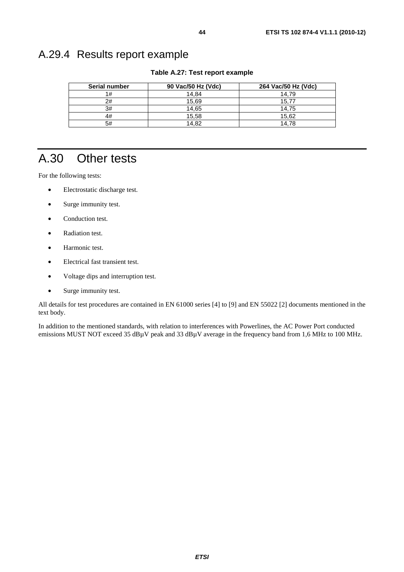## A.29.4 Results report example

**Table A.27: Test report example** 

| <b>Serial number</b> | 90 Vac/50 Hz (Vdc) | 264 Vac/50 Hz (Vdc) |
|----------------------|--------------------|---------------------|
| 1#                   | 14.84              | 14.79               |
| 2#                   | 15.69              | 15.77               |
| 3#                   | 14.65              | 14.75               |
| 4#                   | 15,58              | 15,62               |
| 5#                   | 14.82              | 14.78               |

## A.30 Other tests

For the following tests:

- Electrostatic discharge test.
- Surge immunity test.
- Conduction test.
- Radiation test.
- Harmonic test.
- Electrical fast transient test.
- Voltage dips and interruption test.
- Surge immunity test.

All details for test procedures are contained in EN 61000 series [4] to [9] and EN 55022 [2] documents mentioned in the text body.

In addition to the mentioned standards, with relation to interferences with Powerlines, the AC Power Port conducted emissions MUST NOT exceed 35 dBµV peak and 33 dBµV average in the frequency band from 1,6 MHz to 100 MHz.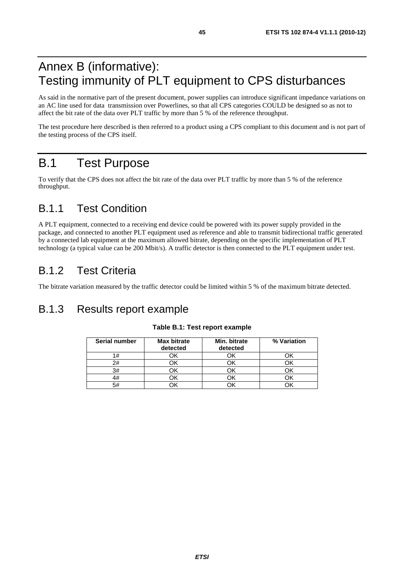## Annex B (informative): Testing immunity of PLT equipment to CPS disturbances

As said in the normative part of the present document, power supplies can introduce significant impedance variations on an AC line used for data transmission over Powerlines, so that all CPS categories COULD be designed so as not to affect the bit rate of the data over PLT traffic by more than 5 % of the reference throughput.

The test procedure here described is then referred to a product using a CPS compliant to this document and is not part of the testing process of the CPS itself.

## B.1 Test Purpose

To verify that the CPS does not affect the bit rate of the data over PLT traffic by more than 5 % of the reference throughput.

## B.1.1 Test Condition

A PLT equipment, connected to a receiving end device could be powered with its power supply provided in the package, and connected to another PLT equipment used as reference and able to transmit bidirectional traffic generated by a connected lab equipment at the maximum allowed bitrate, depending on the specific implementation of PLT technology (a typical value can be 200 Mbit/s). A traffic detector is then connected to the PLT equipment under test.

## B.1.2 Test Criteria

The bitrate variation measured by the traffic detector could be limited within 5 % of the maximum bitrate detected.

## B.1.3 Results report example

| Serial number | <b>Max bitrate</b> | Min. bitrate | % Variation |
|---------------|--------------------|--------------|-------------|
|               | detected           | detected     |             |
| 1#            |                    |              |             |
| 2#            |                    |              |             |
| 3#            |                    |              |             |
| 4#            |                    |              |             |
| 5#            |                    |              |             |

#### **Table B.1: Test report example**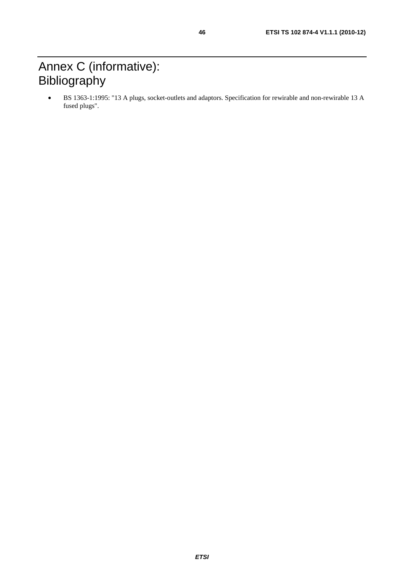## Annex C (informative): Bibliography

• BS 1363-1:1995: "13 A plugs, socket-outlets and adaptors. Specification for rewirable and non-rewirable 13 A fused plugs".